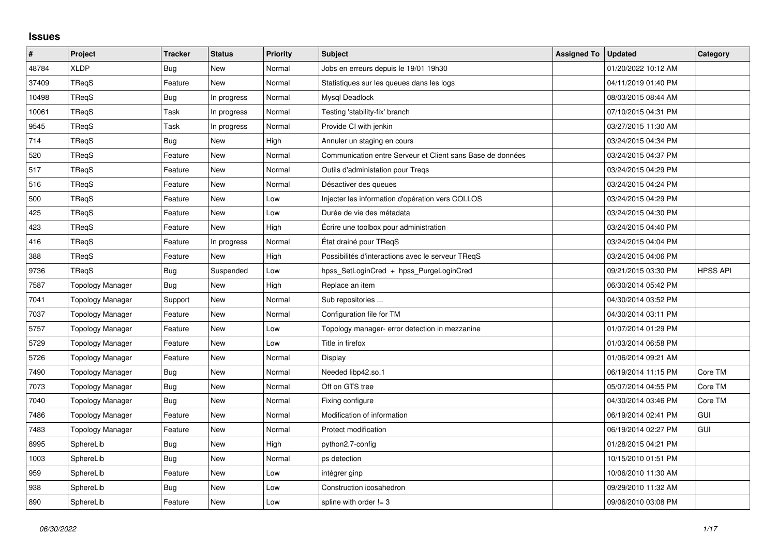## **Issues**

| $\#$  | Project                 | <b>Tracker</b> | <b>Status</b> | <b>Priority</b> | <b>Subject</b>                                             | <b>Assigned To</b> | <b>Updated</b>      | Category        |
|-------|-------------------------|----------------|---------------|-----------------|------------------------------------------------------------|--------------------|---------------------|-----------------|
| 48784 | <b>XLDP</b>             | <b>Bug</b>     | New           | Normal          | Jobs en erreurs depuis le 19/01 19h30                      |                    | 01/20/2022 10:12 AM |                 |
| 37409 | TReqS                   | Feature        | <b>New</b>    | Normal          | Statistiques sur les queues dans les logs                  |                    | 04/11/2019 01:40 PM |                 |
| 10498 | TRegS                   | <b>Bug</b>     | In progress   | Normal          | Mysql Deadlock                                             |                    | 08/03/2015 08:44 AM |                 |
| 10061 | <b>TRegS</b>            | Task           | In progress   | Normal          | Testing 'stability-fix' branch                             |                    | 07/10/2015 04:31 PM |                 |
| 9545  | <b>TRegS</b>            | Task           | In progress   | Normal          | Provide CI with jenkin                                     |                    | 03/27/2015 11:30 AM |                 |
| 714   | TRegS                   | <b>Bug</b>     | New           | High            | Annuler un staging en cours                                |                    | 03/24/2015 04:34 PM |                 |
| 520   | <b>TRegS</b>            | Feature        | <b>New</b>    | Normal          | Communication entre Serveur et Client sans Base de données |                    | 03/24/2015 04:37 PM |                 |
| 517   | TReqS                   | Feature        | <b>New</b>    | Normal          | Outils d'administation pour Tregs                          |                    | 03/24/2015 04:29 PM |                 |
| 516   | TReqS                   | Feature        | New           | Normal          | Désactiver des queues                                      |                    | 03/24/2015 04:24 PM |                 |
| 500   | <b>TRegS</b>            | Feature        | <b>New</b>    | Low             | Injecter les information d'opération vers COLLOS           |                    | 03/24/2015 04:29 PM |                 |
| 425   | TReqS                   | Feature        | <b>New</b>    | Low             | Durée de vie des métadata                                  |                    | 03/24/2015 04:30 PM |                 |
| 423   | TRegS                   | Feature        | New           | High            | Ecrire une toolbox pour administration                     |                    | 03/24/2015 04:40 PM |                 |
| 416   | TReqS                   | Feature        | In progress   | Normal          | État drainé pour TReqS                                     |                    | 03/24/2015 04:04 PM |                 |
| 388   | TRegS                   | Feature        | New           | High            | Possibilités d'interactions avec le serveur TReqS          |                    | 03/24/2015 04:06 PM |                 |
| 9736  | TReqS                   | <b>Bug</b>     | Suspended     | Low             | hpss_SetLoginCred + hpss_PurgeLoginCred                    |                    | 09/21/2015 03:30 PM | <b>HPSS API</b> |
| 7587  | <b>Topology Manager</b> | <b>Bug</b>     | <b>New</b>    | High            | Replace an item                                            |                    | 06/30/2014 05:42 PM |                 |
| 7041  | <b>Topology Manager</b> | Support        | <b>New</b>    | Normal          | Sub repositories                                           |                    | 04/30/2014 03:52 PM |                 |
| 7037  | <b>Topology Manager</b> | Feature        | <b>New</b>    | Normal          | Configuration file for TM                                  |                    | 04/30/2014 03:11 PM |                 |
| 5757  | <b>Topology Manager</b> | Feature        | <b>New</b>    | Low             | Topology manager- error detection in mezzanine             |                    | 01/07/2014 01:29 PM |                 |
| 5729  | <b>Topology Manager</b> | Feature        | <b>New</b>    | Low             | Title in firefox                                           |                    | 01/03/2014 06:58 PM |                 |
| 5726  | <b>Topology Manager</b> | Feature        | <b>New</b>    | Normal          | Display                                                    |                    | 01/06/2014 09:21 AM |                 |
| 7490  | <b>Topology Manager</b> | Bug            | <b>New</b>    | Normal          | Needed libp42.so.1                                         |                    | 06/19/2014 11:15 PM | Core TM         |
| 7073  | <b>Topology Manager</b> | <b>Bug</b>     | <b>New</b>    | Normal          | Off on GTS tree                                            |                    | 05/07/2014 04:55 PM | Core TM         |
| 7040  | <b>Topology Manager</b> | <b>Bug</b>     | <b>New</b>    | Normal          | Fixing configure                                           |                    | 04/30/2014 03:46 PM | Core TM         |
| 7486  | <b>Topology Manager</b> | Feature        | <b>New</b>    | Normal          | Modification of information                                |                    | 06/19/2014 02:41 PM | GUI             |
| 7483  | <b>Topology Manager</b> | Feature        | New           | Normal          | Protect modification                                       |                    | 06/19/2014 02:27 PM | GUI             |
| 8995  | SphereLib               | <b>Bug</b>     | <b>New</b>    | High            | python2.7-config                                           |                    | 01/28/2015 04:21 PM |                 |
| 1003  | SphereLib               | <b>Bug</b>     | <b>New</b>    | Normal          | ps detection                                               |                    | 10/15/2010 01:51 PM |                 |
| 959   | SphereLib               | Feature        | New           | Low             | intégrer ginp                                              |                    | 10/06/2010 11:30 AM |                 |
| 938   | SphereLib               | <b>Bug</b>     | <b>New</b>    | Low             | Construction icosahedron                                   |                    | 09/29/2010 11:32 AM |                 |
| 890   | SphereLib               | Feature        | New           | Low             | spline with order $!=$ 3                                   |                    | 09/06/2010 03:08 PM |                 |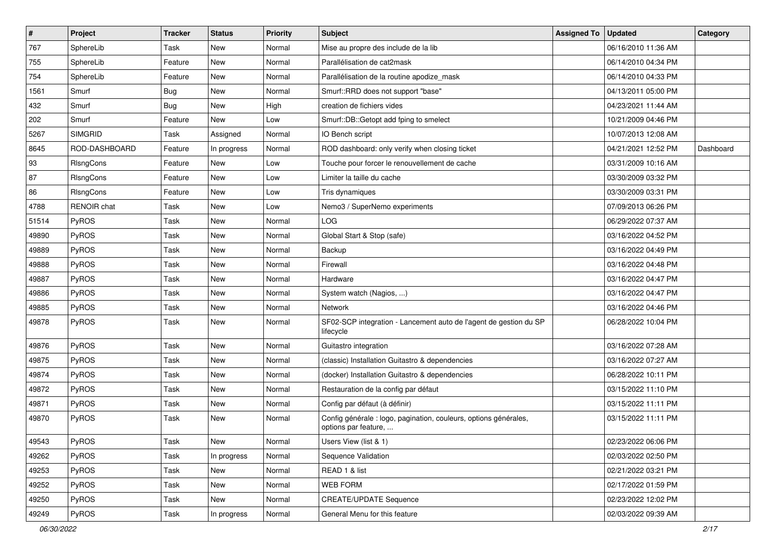| $\pmb{\#}$ | Project            | <b>Tracker</b> | <b>Status</b> | <b>Priority</b> | Subject                                                                                  | <b>Assigned To</b> | <b>Updated</b>      | Category  |
|------------|--------------------|----------------|---------------|-----------------|------------------------------------------------------------------------------------------|--------------------|---------------------|-----------|
| 767        | SphereLib          | Task           | <b>New</b>    | Normal          | Mise au propre des include de la lib                                                     |                    | 06/16/2010 11:36 AM |           |
| 755        | SphereLib          | Feature        | <b>New</b>    | Normal          | Parallélisation de cat2mask                                                              |                    | 06/14/2010 04:34 PM |           |
| 754        | SphereLib          | Feature        | <b>New</b>    | Normal          | Parallélisation de la routine apodize mask                                               |                    | 06/14/2010 04:33 PM |           |
| 1561       | Smurf              | <b>Bug</b>     | <b>New</b>    | Normal          | Smurf::RRD does not support "base"                                                       |                    | 04/13/2011 05:00 PM |           |
| 432        | Smurf              | <b>Bug</b>     | <b>New</b>    | High            | creation de fichiers vides                                                               |                    | 04/23/2021 11:44 AM |           |
| 202        | Smurf              | Feature        | <b>New</b>    | Low             | Smurf::DB::Getopt add fping to smelect                                                   |                    | 10/21/2009 04:46 PM |           |
| 5267       | <b>SIMGRID</b>     | Task           | Assigned      | Normal          | IO Bench script                                                                          |                    | 10/07/2013 12:08 AM |           |
| 8645       | ROD-DASHBOARD      | Feature        | In progress   | Normal          | ROD dashboard: only verify when closing ticket                                           |                    | 04/21/2021 12:52 PM | Dashboard |
| 93         | RIsngCons          | Feature        | New           | Low             | Touche pour forcer le renouvellement de cache                                            |                    | 03/31/2009 10:16 AM |           |
| 87         | RIsngCons          | Feature        | <b>New</b>    | Low             | Limiter la taille du cache                                                               |                    | 03/30/2009 03:32 PM |           |
| 86         | <b>RIsngCons</b>   | Feature        | <b>New</b>    | Low             | Tris dynamiques                                                                          |                    | 03/30/2009 03:31 PM |           |
| 4788       | <b>RENOIR chat</b> | Task           | New           | Low             | Nemo3 / SuperNemo experiments                                                            |                    | 07/09/2013 06:26 PM |           |
| 51514      | PyROS              | Task           | <b>New</b>    | Normal          | <b>LOG</b>                                                                               |                    | 06/29/2022 07:37 AM |           |
| 49890      | PyROS              | Task           | <b>New</b>    | Normal          | Global Start & Stop (safe)                                                               |                    | 03/16/2022 04:52 PM |           |
| 49889      | PyROS              | Task           | <b>New</b>    | Normal          | Backup                                                                                   |                    | 03/16/2022 04:49 PM |           |
| 49888      | PyROS              | Task           | <b>New</b>    | Normal          | Firewall                                                                                 |                    | 03/16/2022 04:48 PM |           |
| 49887      | PyROS              | Task           | <b>New</b>    | Normal          | Hardware                                                                                 |                    | 03/16/2022 04:47 PM |           |
| 49886      | PyROS              | Task           | <b>New</b>    | Normal          | System watch (Nagios, )                                                                  |                    | 03/16/2022 04:47 PM |           |
| 49885      | PyROS              | Task           | <b>New</b>    | Normal          | <b>Network</b>                                                                           |                    | 03/16/2022 04:46 PM |           |
| 49878      | PyROS              | Task           | <b>New</b>    | Normal          | SF02-SCP integration - Lancement auto de l'agent de gestion du SP<br>lifecycle           |                    | 06/28/2022 10:04 PM |           |
| 49876      | PyROS              | Task           | <b>New</b>    | Normal          | Guitastro integration                                                                    |                    | 03/16/2022 07:28 AM |           |
| 49875      | PyROS              | Task           | <b>New</b>    | Normal          | (classic) Installation Guitastro & dependencies                                          |                    | 03/16/2022 07:27 AM |           |
| 49874      | <b>PyROS</b>       | Task           | <b>New</b>    | Normal          | (docker) Installation Guitastro & dependencies                                           |                    | 06/28/2022 10:11 PM |           |
| 49872      | PyROS              | Task           | <b>New</b>    | Normal          | Restauration de la config par défaut                                                     |                    | 03/15/2022 11:10 PM |           |
| 49871      | PyROS              | Task           | New           | Normal          | Config par défaut (à définir)                                                            |                    | 03/15/2022 11:11 PM |           |
| 49870      | PyROS              | Task           | New           | Normal          | Config générale : logo, pagination, couleurs, options générales,<br>options par feature, |                    | 03/15/2022 11:11 PM |           |
| 49543      | PyROS              | Task           | New           | Normal          | Users View (list & 1)                                                                    |                    | 02/23/2022 06:06 PM |           |
| 49262      | PyROS              | Task           | In progress   | Normal          | Sequence Validation                                                                      |                    | 02/03/2022 02:50 PM |           |
| 49253      | PyROS              | Task           | New           | Normal          | READ 1 & list                                                                            |                    | 02/21/2022 03:21 PM |           |
| 49252      | PyROS              | Task           | New           | Normal          | WEB FORM                                                                                 |                    | 02/17/2022 01:59 PM |           |
| 49250      | PyROS              | Task           | New           | Normal          | <b>CREATE/UPDATE Sequence</b>                                                            |                    | 02/23/2022 12:02 PM |           |
| 49249      | PyROS              | Task           | In progress   | Normal          | General Menu for this feature                                                            |                    | 02/03/2022 09:39 AM |           |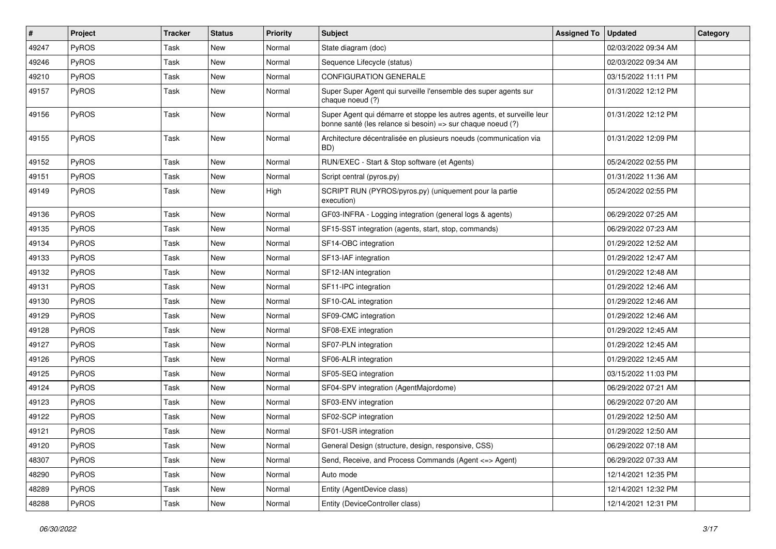| #     | Project      | <b>Tracker</b> | <b>Status</b> | <b>Priority</b> | <b>Subject</b>                                                                                                                        | <b>Assigned To</b> | <b>Updated</b>      | Category |
|-------|--------------|----------------|---------------|-----------------|---------------------------------------------------------------------------------------------------------------------------------------|--------------------|---------------------|----------|
| 49247 | PyROS        | Task           | New           | Normal          | State diagram (doc)                                                                                                                   |                    | 02/03/2022 09:34 AM |          |
| 49246 | PyROS        | Task           | <b>New</b>    | Normal          | Sequence Lifecycle (status)                                                                                                           |                    | 02/03/2022 09:34 AM |          |
| 49210 | PyROS        | Task           | New           | Normal          | <b>CONFIGURATION GENERALE</b>                                                                                                         |                    | 03/15/2022 11:11 PM |          |
| 49157 | PyROS        | Task           | <b>New</b>    | Normal          | Super Super Agent qui surveille l'ensemble des super agents sur<br>chaque noeud (?)                                                   |                    | 01/31/2022 12:12 PM |          |
| 49156 | PyROS        | Task           | <b>New</b>    | Normal          | Super Agent qui démarre et stoppe les autres agents, et surveille leur<br>bonne santé (les relance si besoin) => sur chaque noeud (?) |                    | 01/31/2022 12:12 PM |          |
| 49155 | PyROS        | Task           | <b>New</b>    | Normal          | Architecture décentralisée en plusieurs noeuds (communication via<br>BD)                                                              |                    | 01/31/2022 12:09 PM |          |
| 49152 | PyROS        | Task           | <b>New</b>    | Normal          | RUN/EXEC - Start & Stop software (et Agents)                                                                                          |                    | 05/24/2022 02:55 PM |          |
| 49151 | PyROS        | Task           | New           | Normal          | Script central (pyros.py)                                                                                                             |                    | 01/31/2022 11:36 AM |          |
| 49149 | PyROS        | Task           | <b>New</b>    | High            | SCRIPT RUN (PYROS/pyros.py) (uniquement pour la partie<br>execution)                                                                  |                    | 05/24/2022 02:55 PM |          |
| 49136 | PyROS        | Task           | <b>New</b>    | Normal          | GF03-INFRA - Logging integration (general logs & agents)                                                                              |                    | 06/29/2022 07:25 AM |          |
| 49135 | PyROS        | Task           | <b>New</b>    | Normal          | SF15-SST integration (agents, start, stop, commands)                                                                                  |                    | 06/29/2022 07:23 AM |          |
| 49134 | PyROS        | Task           | <b>New</b>    | Normal          | SF14-OBC integration                                                                                                                  |                    | 01/29/2022 12:52 AM |          |
| 49133 | PyROS        | Task           | <b>New</b>    | Normal          | SF13-IAF integration                                                                                                                  |                    | 01/29/2022 12:47 AM |          |
| 49132 | PyROS        | Task           | <b>New</b>    | Normal          | SF12-IAN integration                                                                                                                  |                    | 01/29/2022 12:48 AM |          |
| 49131 | <b>PyROS</b> | Task           | New           | Normal          | SF11-IPC integration                                                                                                                  |                    | 01/29/2022 12:46 AM |          |
| 49130 | PyROS        | Task           | <b>New</b>    | Normal          | SF10-CAL integration                                                                                                                  |                    | 01/29/2022 12:46 AM |          |
| 49129 | PyROS        | Task           | New           | Normal          | SF09-CMC integration                                                                                                                  |                    | 01/29/2022 12:46 AM |          |
| 49128 | PyROS        | Task           | <b>New</b>    | Normal          | SF08-EXE integration                                                                                                                  |                    | 01/29/2022 12:45 AM |          |
| 49127 | PyROS        | Task           | <b>New</b>    | Normal          | SF07-PLN integration                                                                                                                  |                    | 01/29/2022 12:45 AM |          |
| 49126 | PyROS        | Task           | <b>New</b>    | Normal          | SF06-ALR integration                                                                                                                  |                    | 01/29/2022 12:45 AM |          |
| 49125 | PyROS        | Task           | <b>New</b>    | Normal          | SF05-SEQ integration                                                                                                                  |                    | 03/15/2022 11:03 PM |          |
| 49124 | PyROS        | Task           | New           | Normal          | SF04-SPV integration (AgentMajordome)                                                                                                 |                    | 06/29/2022 07:21 AM |          |
| 49123 | PyROS        | Task           | <b>New</b>    | Normal          | SF03-ENV integration                                                                                                                  |                    | 06/29/2022 07:20 AM |          |
| 49122 | PyROS        | Task           | New           | Normal          | SF02-SCP integration                                                                                                                  |                    | 01/29/2022 12:50 AM |          |
| 49121 | PyROS        | Task           | New           | Normal          | SF01-USR integration                                                                                                                  |                    | 01/29/2022 12:50 AM |          |
| 49120 | PyROS        | Task           | New           | Normal          | General Design (structure, design, responsive, CSS)                                                                                   |                    | 06/29/2022 07:18 AM |          |
| 48307 | PyROS        | Task           | New           | Normal          | Send, Receive, and Process Commands (Agent <= > Agent)                                                                                |                    | 06/29/2022 07:33 AM |          |
| 48290 | PyROS        | Task           | New           | Normal          | Auto mode                                                                                                                             |                    | 12/14/2021 12:35 PM |          |
| 48289 | PyROS        | Task           | New           | Normal          | Entity (AgentDevice class)                                                                                                            |                    | 12/14/2021 12:32 PM |          |
| 48288 | PyROS        | Task           | New           | Normal          | Entity (DeviceController class)                                                                                                       |                    | 12/14/2021 12:31 PM |          |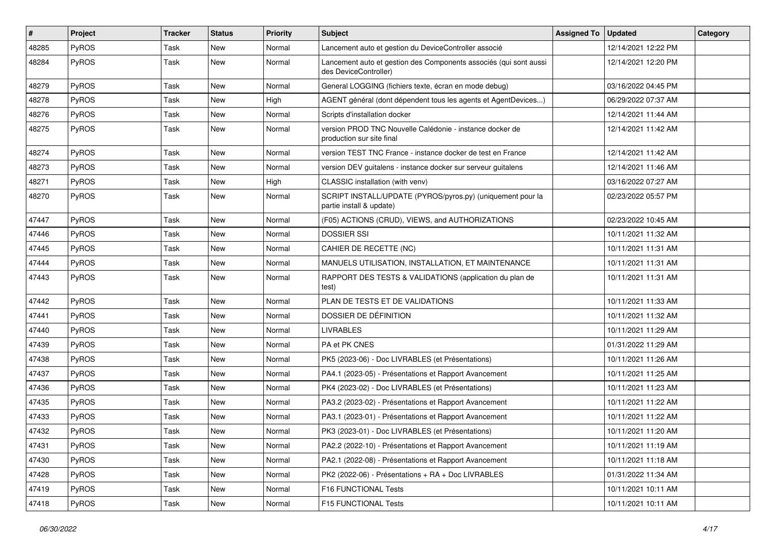| #     | Project      | <b>Tracker</b> | <b>Status</b> | <b>Priority</b> | <b>Subject</b>                                                                             | <b>Assigned To</b> | Updated             | Category |
|-------|--------------|----------------|---------------|-----------------|--------------------------------------------------------------------------------------------|--------------------|---------------------|----------|
| 48285 | PyROS        | Task           | New           | Normal          | Lancement auto et gestion du DeviceController associé                                      |                    | 12/14/2021 12:22 PM |          |
| 48284 | PyROS        | Task           | New           | Normal          | Lancement auto et gestion des Components associés (qui sont aussi<br>des DeviceController) |                    | 12/14/2021 12:20 PM |          |
| 48279 | PyROS        | Task           | <b>New</b>    | Normal          | General LOGGING (fichiers texte, écran en mode debug)                                      |                    | 03/16/2022 04:45 PM |          |
| 48278 | PyROS        | Task           | <b>New</b>    | High            | AGENT général (dont dépendent tous les agents et AgentDevices)                             |                    | 06/29/2022 07:37 AM |          |
| 48276 | PyROS        | Task           | New           | Normal          | Scripts d'installation docker                                                              |                    | 12/14/2021 11:44 AM |          |
| 48275 | PyROS        | Task           | <b>New</b>    | Normal          | version PROD TNC Nouvelle Calédonie - instance docker de<br>production sur site final      |                    | 12/14/2021 11:42 AM |          |
| 48274 | PyROS        | Task           | New           | Normal          | version TEST TNC France - instance docker de test en France                                |                    | 12/14/2021 11:42 AM |          |
| 48273 | PyROS        | Task           | <b>New</b>    | Normal          | version DEV guitalens - instance docker sur serveur guitalens                              |                    | 12/14/2021 11:46 AM |          |
| 48271 | PyROS        | Task           | <b>New</b>    | High            | CLASSIC installation (with venv)                                                           |                    | 03/16/2022 07:27 AM |          |
| 48270 | PyROS        | Task           | New           | Normal          | SCRIPT INSTALL/UPDATE (PYROS/pyros.py) (uniquement pour la<br>partie install & update)     |                    | 02/23/2022 05:57 PM |          |
| 47447 | PyROS        | Task           | <b>New</b>    | Normal          | (F05) ACTIONS (CRUD), VIEWS, and AUTHORIZATIONS                                            |                    | 02/23/2022 10:45 AM |          |
| 47446 | PyROS        | Task           | <b>New</b>    | Normal          | <b>DOSSIER SSI</b>                                                                         |                    | 10/11/2021 11:32 AM |          |
| 47445 | PyROS        | Task           | <b>New</b>    | Normal          | CAHIER DE RECETTE (NC)                                                                     |                    | 10/11/2021 11:31 AM |          |
| 47444 | PyROS        | Task           | New           | Normal          | MANUELS UTILISATION, INSTALLATION, ET MAINTENANCE                                          |                    | 10/11/2021 11:31 AM |          |
| 47443 | PyROS        | Task           | <b>New</b>    | Normal          | RAPPORT DES TESTS & VALIDATIONS (application du plan de<br>test)                           |                    | 10/11/2021 11:31 AM |          |
| 47442 | PyROS        | Task           | New           | Normal          | PLAN DE TESTS ET DE VALIDATIONS                                                            |                    | 10/11/2021 11:33 AM |          |
| 47441 | PyROS        | Task           | New           | Normal          | DOSSIER DE DÉFINITION                                                                      |                    | 10/11/2021 11:32 AM |          |
| 47440 | PyROS        | Task           | <b>New</b>    | Normal          | <b>LIVRABLES</b>                                                                           |                    | 10/11/2021 11:29 AM |          |
| 47439 | PyROS        | Task           | <b>New</b>    | Normal          | PA et PK CNES                                                                              |                    | 01/31/2022 11:29 AM |          |
| 47438 | PyROS        | Task           | <b>New</b>    | Normal          | PK5 (2023-06) - Doc LIVRABLES (et Présentations)                                           |                    | 10/11/2021 11:26 AM |          |
| 47437 | PyROS        | Task           | New           | Normal          | PA4.1 (2023-05) - Présentations et Rapport Avancement                                      |                    | 10/11/2021 11:25 AM |          |
| 47436 | PyROS        | Task           | <b>New</b>    | Normal          | PK4 (2023-02) - Doc LIVRABLES (et Présentations)                                           |                    | 10/11/2021 11:23 AM |          |
| 47435 | <b>PyROS</b> | Task           | New           | Normal          | PA3.2 (2023-02) - Présentations et Rapport Avancement                                      |                    | 10/11/2021 11:22 AM |          |
| 47433 | PyROS        | Task           | <b>New</b>    | Normal          | PA3.1 (2023-01) - Présentations et Rapport Avancement                                      |                    | 10/11/2021 11:22 AM |          |
| 47432 | PyROS        | Task           | New           | Normal          | PK3 (2023-01) - Doc LIVRABLES (et Présentations)                                           |                    | 10/11/2021 11:20 AM |          |
| 47431 | PyROS        | Task           | New           | Normal          | PA2.2 (2022-10) - Présentations et Rapport Avancement                                      |                    | 10/11/2021 11:19 AM |          |
| 47430 | PyROS        | Task           | New           | Normal          | PA2.1 (2022-08) - Présentations et Rapport Avancement                                      |                    | 10/11/2021 11:18 AM |          |
| 47428 | PyROS        | Task           | New           | Normal          | PK2 (2022-06) - Présentations + RA + Doc LIVRABLES                                         |                    | 01/31/2022 11:34 AM |          |
| 47419 | PyROS        | Task           | New           | Normal          | F16 FUNCTIONAL Tests                                                                       |                    | 10/11/2021 10:11 AM |          |
| 47418 | PyROS        | Task           | New           | Normal          | F15 FUNCTIONAL Tests                                                                       |                    | 10/11/2021 10:11 AM |          |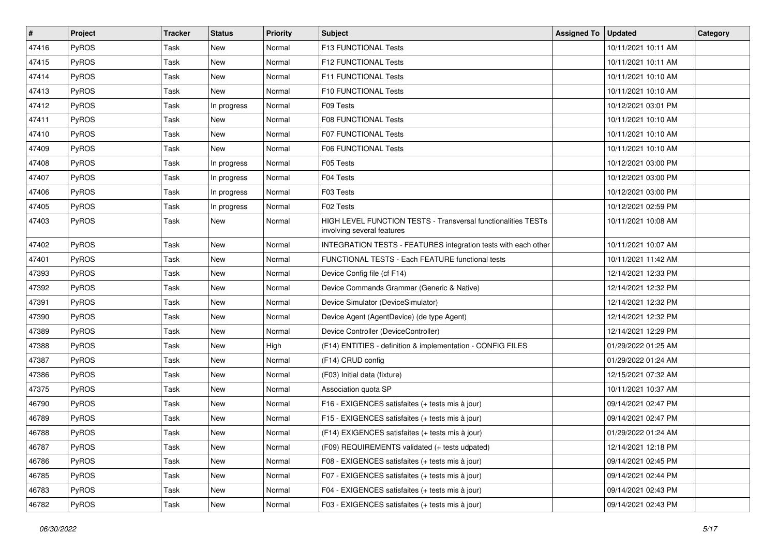| #     | Project | <b>Tracker</b> | <b>Status</b> | <b>Priority</b> | <b>Subject</b>                                                                              | <b>Assigned To</b> | Updated             | Category |
|-------|---------|----------------|---------------|-----------------|---------------------------------------------------------------------------------------------|--------------------|---------------------|----------|
| 47416 | PyROS   | Task           | New           | Normal          | F13 FUNCTIONAL Tests                                                                        |                    | 10/11/2021 10:11 AM |          |
| 47415 | PyROS   | Task           | New           | Normal          | F12 FUNCTIONAL Tests                                                                        |                    | 10/11/2021 10:11 AM |          |
| 47414 | PyROS   | Task           | New           | Normal          | F11 FUNCTIONAL Tests                                                                        |                    | 10/11/2021 10:10 AM |          |
| 47413 | PyROS   | Task           | New           | Normal          | <b>F10 FUNCTIONAL Tests</b>                                                                 |                    | 10/11/2021 10:10 AM |          |
| 47412 | PyROS   | Task           | In progress   | Normal          | F09 Tests                                                                                   |                    | 10/12/2021 03:01 PM |          |
| 47411 | PyROS   | Task           | New           | Normal          | <b>F08 FUNCTIONAL Tests</b>                                                                 |                    | 10/11/2021 10:10 AM |          |
| 47410 | PyROS   | Task           | <b>New</b>    | Normal          | <b>F07 FUNCTIONAL Tests</b>                                                                 |                    | 10/11/2021 10:10 AM |          |
| 47409 | PyROS   | Task           | <b>New</b>    | Normal          | <b>F06 FUNCTIONAL Tests</b>                                                                 |                    | 10/11/2021 10:10 AM |          |
| 47408 | PyROS   | Task           | In progress   | Normal          | F05 Tests                                                                                   |                    | 10/12/2021 03:00 PM |          |
| 47407 | PyROS   | Task           | In progress   | Normal          | F04 Tests                                                                                   |                    | 10/12/2021 03:00 PM |          |
| 47406 | PyROS   | Task           | In progress   | Normal          | F03 Tests                                                                                   |                    | 10/12/2021 03:00 PM |          |
| 47405 | PyROS   | Task           | In progress   | Normal          | F02 Tests                                                                                   |                    | 10/12/2021 02:59 PM |          |
| 47403 | PyROS   | Task           | New           | Normal          | HIGH LEVEL FUNCTION TESTS - Transversal functionalities TESTs<br>involving several features |                    | 10/11/2021 10:08 AM |          |
| 47402 | PyROS   | Task           | New           | Normal          | INTEGRATION TESTS - FEATURES integration tests with each other                              |                    | 10/11/2021 10:07 AM |          |
| 47401 | PyROS   | Task           | New           | Normal          | FUNCTIONAL TESTS - Each FEATURE functional tests                                            |                    | 10/11/2021 11:42 AM |          |
| 47393 | PyROS   | Task           | New           | Normal          | Device Config file (cf F14)                                                                 |                    | 12/14/2021 12:33 PM |          |
| 47392 | PyROS   | Task           | New           | Normal          | Device Commands Grammar (Generic & Native)                                                  |                    | 12/14/2021 12:32 PM |          |
| 47391 | PyROS   | Task           | New           | Normal          | Device Simulator (DeviceSimulator)                                                          |                    | 12/14/2021 12:32 PM |          |
| 47390 | PyROS   | Task           | <b>New</b>    | Normal          | Device Agent (AgentDevice) (de type Agent)                                                  |                    | 12/14/2021 12:32 PM |          |
| 47389 | PyROS   | Task           | New           | Normal          | Device Controller (DeviceController)                                                        |                    | 12/14/2021 12:29 PM |          |
| 47388 | PyROS   | Task           | <b>New</b>    | High            | (F14) ENTITIES - definition & implementation - CONFIG FILES                                 |                    | 01/29/2022 01:25 AM |          |
| 47387 | PyROS   | Task           | <b>New</b>    | Normal          | (F14) CRUD config                                                                           |                    | 01/29/2022 01:24 AM |          |
| 47386 | PyROS   | Task           | New           | Normal          | (F03) Initial data (fixture)                                                                |                    | 12/15/2021 07:32 AM |          |
| 47375 | PyROS   | Task           | <b>New</b>    | Normal          | Association quota SP                                                                        |                    | 10/11/2021 10:37 AM |          |
| 46790 | PyROS   | Task           | New           | Normal          | F16 - EXIGENCES satisfaites (+ tests mis à jour)                                            |                    | 09/14/2021 02:47 PM |          |
| 46789 | PyROS   | Task           | <b>New</b>    | Normal          | F15 - EXIGENCES satisfaites (+ tests mis à jour)                                            |                    | 09/14/2021 02:47 PM |          |
| 46788 | PyROS   | Task           | New           | Normal          | (F14) EXIGENCES satisfaites (+ tests mis à jour)                                            |                    | 01/29/2022 01:24 AM |          |
| 46787 | PyROS   | Task           | New           | Normal          | (F09) REQUIREMENTS validated (+ tests udpated)                                              |                    | 12/14/2021 12:18 PM |          |
| 46786 | PyROS   | Task           | New           | Normal          | F08 - EXIGENCES satisfaites (+ tests mis à jour)                                            |                    | 09/14/2021 02:45 PM |          |
| 46785 | PyROS   | Task           | New           | Normal          | F07 - EXIGENCES satisfaites (+ tests mis à jour)                                            |                    | 09/14/2021 02:44 PM |          |
| 46783 | PyROS   | Task           | New           | Normal          | F04 - EXIGENCES satisfaites (+ tests mis à jour)                                            |                    | 09/14/2021 02:43 PM |          |
| 46782 | PyROS   | Task           | New           | Normal          | F03 - EXIGENCES satisfaites (+ tests mis à jour)                                            |                    | 09/14/2021 02:43 PM |          |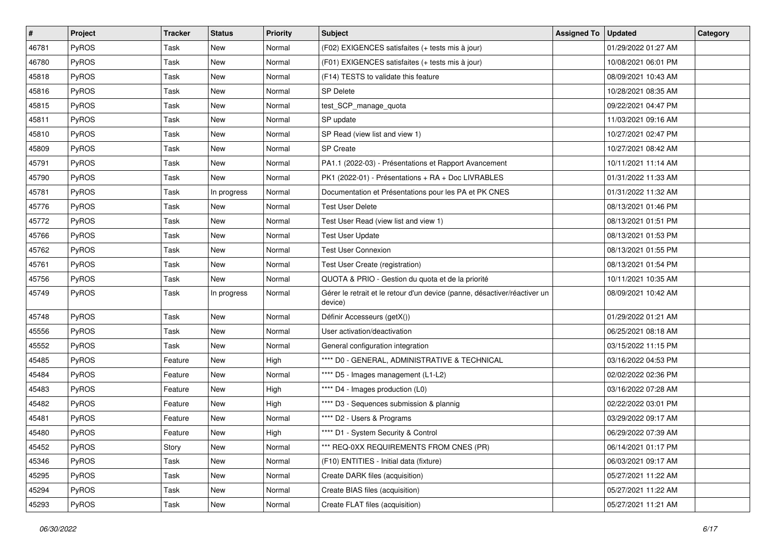| #     | <b>Project</b> | <b>Tracker</b> | <b>Status</b> | <b>Priority</b> | <b>Subject</b>                                                                       | <b>Assigned To</b> | Updated             | Category |
|-------|----------------|----------------|---------------|-----------------|--------------------------------------------------------------------------------------|--------------------|---------------------|----------|
| 46781 | PyROS          | Task           | New           | Normal          | (F02) EXIGENCES satisfaites (+ tests mis à jour)                                     |                    | 01/29/2022 01:27 AM |          |
| 46780 | PyROS          | Task           | New           | Normal          | (F01) EXIGENCES satisfaites (+ tests mis à jour)                                     |                    | 10/08/2021 06:01 PM |          |
| 45818 | PyROS          | Task           | New           | Normal          | (F14) TESTS to validate this feature                                                 |                    | 08/09/2021 10:43 AM |          |
| 45816 | PyROS          | Task           | <b>New</b>    | Normal          | <b>SP Delete</b>                                                                     |                    | 10/28/2021 08:35 AM |          |
| 45815 | PyROS          | Task           | <b>New</b>    | Normal          | test_SCP_manage_quota                                                                |                    | 09/22/2021 04:47 PM |          |
| 45811 | PyROS          | Task           | New           | Normal          | SP update                                                                            |                    | 11/03/2021 09:16 AM |          |
| 45810 | PyROS          | Task           | <b>New</b>    | Normal          | SP Read (view list and view 1)                                                       |                    | 10/27/2021 02:47 PM |          |
| 45809 | PyROS          | Task           | New           | Normal          | <b>SP</b> Create                                                                     |                    | 10/27/2021 08:42 AM |          |
| 45791 | PyROS          | Task           | New           | Normal          | PA1.1 (2022-03) - Présentations et Rapport Avancement                                |                    | 10/11/2021 11:14 AM |          |
| 45790 | PyROS          | Task           | <b>New</b>    | Normal          | PK1 (2022-01) - Présentations + RA + Doc LIVRABLES                                   |                    | 01/31/2022 11:33 AM |          |
| 45781 | PyROS          | Task           | In progress   | Normal          | Documentation et Présentations pour les PA et PK CNES                                |                    | 01/31/2022 11:32 AM |          |
| 45776 | PyROS          | Task           | New           | Normal          | <b>Test User Delete</b>                                                              |                    | 08/13/2021 01:46 PM |          |
| 45772 | PyROS          | Task           | New           | Normal          | Test User Read (view list and view 1)                                                |                    | 08/13/2021 01:51 PM |          |
| 45766 | PyROS          | Task           | <b>New</b>    | Normal          | <b>Test User Update</b>                                                              |                    | 08/13/2021 01:53 PM |          |
| 45762 | PyROS          | Task           | New           | Normal          | <b>Test User Connexion</b>                                                           |                    | 08/13/2021 01:55 PM |          |
| 45761 | PyROS          | Task           | New           | Normal          | Test User Create (registration)                                                      |                    | 08/13/2021 01:54 PM |          |
| 45756 | PyROS          | Task           | New           | Normal          | QUOTA & PRIO - Gestion du quota et de la priorité                                    |                    | 10/11/2021 10:35 AM |          |
| 45749 | PyROS          | Task           | In progress   | Normal          | Gérer le retrait et le retour d'un device (panne, désactiver/réactiver un<br>device) |                    | 08/09/2021 10:42 AM |          |
| 45748 | PyROS          | Task           | New           | Normal          | Définir Accesseurs (getX())                                                          |                    | 01/29/2022 01:21 AM |          |
| 45556 | PyROS          | Task           | New           | Normal          | User activation/deactivation                                                         |                    | 06/25/2021 08:18 AM |          |
| 45552 | PyROS          | Task           | <b>New</b>    | Normal          | General configuration integration                                                    |                    | 03/15/2022 11:15 PM |          |
| 45485 | PyROS          | Feature        | <b>New</b>    | High            | **** D0 - GENERAL, ADMINISTRATIVE & TECHNICAL                                        |                    | 03/16/2022 04:53 PM |          |
| 45484 | PyROS          | Feature        | New           | Normal          | **** D5 - Images management (L1-L2)                                                  |                    | 02/02/2022 02:36 PM |          |
| 45483 | PyROS          | Feature        | New           | High            | **** D4 - Images production (L0)                                                     |                    | 03/16/2022 07:28 AM |          |
| 45482 | PyROS          | Feature        | New           | High            | **** D3 - Sequences submission & plannig                                             |                    | 02/22/2022 03:01 PM |          |
| 45481 | PyROS          | Feature        | New           | Normal          | **** D2 - Users & Programs                                                           |                    | 03/29/2022 09:17 AM |          |
| 45480 | PyROS          | Feature        | New           | High            | **** D1 - System Security & Control                                                  |                    | 06/29/2022 07:39 AM |          |
| 45452 | PyROS          | Story          | New           | Normal          | *** REQ-0XX REQUIREMENTS FROM CNES (PR)                                              |                    | 06/14/2021 01:17 PM |          |
| 45346 | PyROS          | Task           | New           | Normal          | (F10) ENTITIES - Initial data (fixture)                                              |                    | 06/03/2021 09:17 AM |          |
| 45295 | PyROS          | Task           | New           | Normal          | Create DARK files (acquisition)                                                      |                    | 05/27/2021 11:22 AM |          |
| 45294 | PyROS          | Task           | New           | Normal          | Create BIAS files (acquisition)                                                      |                    | 05/27/2021 11:22 AM |          |
| 45293 | PyROS          | Task           | New           | Normal          | Create FLAT files (acquisition)                                                      |                    | 05/27/2021 11:21 AM |          |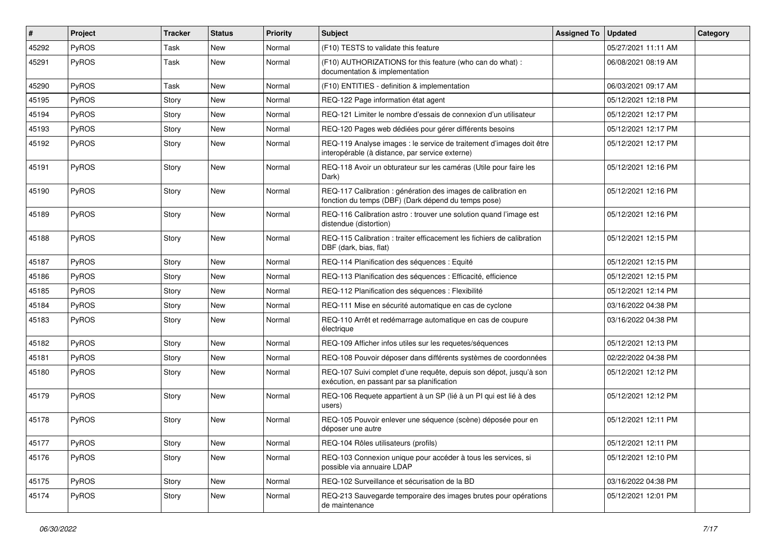| #     | Project | <b>Tracker</b> | <b>Status</b> | <b>Priority</b> | <b>Subject</b>                                                                                                          | <b>Assigned To</b> | <b>Updated</b>      | Category |
|-------|---------|----------------|---------------|-----------------|-------------------------------------------------------------------------------------------------------------------------|--------------------|---------------------|----------|
| 45292 | PyROS   | Task           | <b>New</b>    | Normal          | (F10) TESTS to validate this feature                                                                                    |                    | 05/27/2021 11:11 AM |          |
| 45291 | PyROS   | Task           | New           | Normal          | (F10) AUTHORIZATIONS for this feature (who can do what) :<br>documentation & implementation                             |                    | 06/08/2021 08:19 AM |          |
| 45290 | PyROS   | Task           | <b>New</b>    | Normal          | (F10) ENTITIES - definition & implementation                                                                            |                    | 06/03/2021 09:17 AM |          |
| 45195 | PyROS   | Story          | <b>New</b>    | Normal          | REQ-122 Page information état agent                                                                                     |                    | 05/12/2021 12:18 PM |          |
| 45194 | PyROS   | Story          | New           | Normal          | REQ-121 Limiter le nombre d'essais de connexion d'un utilisateur                                                        |                    | 05/12/2021 12:17 PM |          |
| 45193 | PyROS   | Story          | <b>New</b>    | Normal          | REQ-120 Pages web dédiées pour gérer différents besoins                                                                 |                    | 05/12/2021 12:17 PM |          |
| 45192 | PyROS   | Story          | New           | Normal          | REQ-119 Analyse images : le service de traitement d'images doit être<br>interopérable (à distance, par service externe) |                    | 05/12/2021 12:17 PM |          |
| 45191 | PyROS   | Story          | New           | Normal          | REQ-118 Avoir un obturateur sur les caméras (Utile pour faire les<br>Dark)                                              |                    | 05/12/2021 12:16 PM |          |
| 45190 | PyROS   | Story          | New           | Normal          | REQ-117 Calibration : génération des images de calibration en<br>fonction du temps (DBF) (Dark dépend du temps pose)    |                    | 05/12/2021 12:16 PM |          |
| 45189 | PyROS   | Story          | New           | Normal          | REQ-116 Calibration astro: trouver une solution quand l'image est<br>distendue (distortion)                             |                    | 05/12/2021 12:16 PM |          |
| 45188 | PyROS   | Story          | New           | Normal          | REQ-115 Calibration : traiter efficacement les fichiers de calibration<br>DBF (dark, bias, flat)                        |                    | 05/12/2021 12:15 PM |          |
| 45187 | PyROS   | Story          | <b>New</b>    | Normal          | REQ-114 Planification des séquences : Equité                                                                            |                    | 05/12/2021 12:15 PM |          |
| 45186 | PyROS   | Story          | New           | Normal          | REQ-113 Planification des séquences : Efficacité, efficience                                                            |                    | 05/12/2021 12:15 PM |          |
| 45185 | PyROS   | Story          | <b>New</b>    | Normal          | REQ-112 Planification des séquences : Flexibilité                                                                       |                    | 05/12/2021 12:14 PM |          |
| 45184 | PyROS   | Story          | <b>New</b>    | Normal          | REQ-111 Mise en sécurité automatique en cas de cyclone                                                                  |                    | 03/16/2022 04:38 PM |          |
| 45183 | PyROS   | Story          | New           | Normal          | REQ-110 Arrêt et redémarrage automatique en cas de coupure<br>électrique                                                |                    | 03/16/2022 04:38 PM |          |
| 45182 | PyROS   | Story          | New           | Normal          | REQ-109 Afficher infos utiles sur les requetes/séquences                                                                |                    | 05/12/2021 12:13 PM |          |
| 45181 | PyROS   | Story          | <b>New</b>    | Normal          | REQ-108 Pouvoir déposer dans différents systèmes de coordonnées                                                         |                    | 02/22/2022 04:38 PM |          |
| 45180 | PyROS   | Story          | New           | Normal          | REQ-107 Suivi complet d'une requête, depuis son dépot, jusqu'à son<br>exécution, en passant par sa planification        |                    | 05/12/2021 12:12 PM |          |
| 45179 | PyROS   | Story          | <b>New</b>    | Normal          | REQ-106 Requete appartient à un SP (lié à un PI qui est lié à des<br>users)                                             |                    | 05/12/2021 12:12 PM |          |
| 45178 | PyROS   | Story          | <b>New</b>    | Normal          | REQ-105 Pouvoir enlever une séquence (scène) déposée pour en<br>déposer une autre                                       |                    | 05/12/2021 12:11 PM |          |
| 45177 | PyROS   | Story          | New           | Normal          | REQ-104 Rôles utilisateurs (profils)                                                                                    |                    | 05/12/2021 12:11 PM |          |
| 45176 | PyROS   | Story          | New           | Normal          | REQ-103 Connexion unique pour accéder à tous les services, si<br>possible via annuaire LDAP                             |                    | 05/12/2021 12:10 PM |          |
| 45175 | PyROS   | Story          | New           | Normal          | REQ-102 Surveillance et sécurisation de la BD                                                                           |                    | 03/16/2022 04:38 PM |          |
| 45174 | PyROS   | Story          | New           | Normal          | REQ-213 Sauvegarde temporaire des images brutes pour opérations<br>de maintenance                                       |                    | 05/12/2021 12:01 PM |          |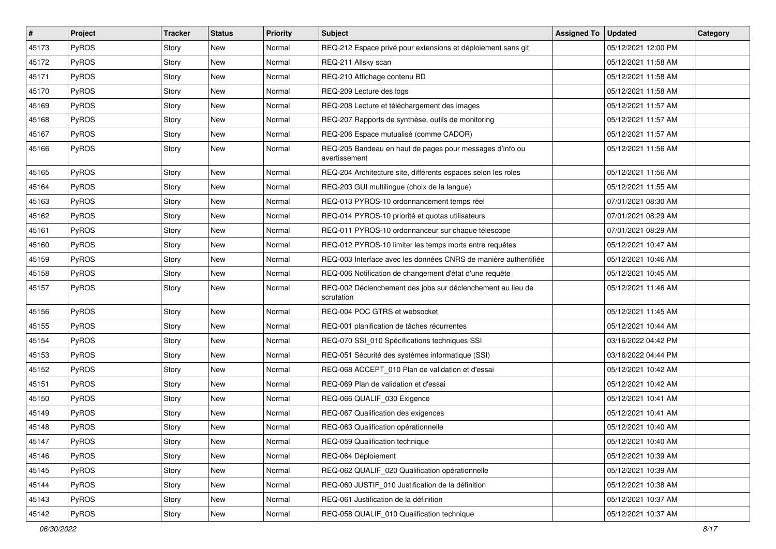| $\sharp$ | Project | <b>Tracker</b> | <b>Status</b> | <b>Priority</b> | Subject                                                                   | <b>Assigned To</b> | <b>Updated</b>      | Category |
|----------|---------|----------------|---------------|-----------------|---------------------------------------------------------------------------|--------------------|---------------------|----------|
| 45173    | PyROS   | Story          | New           | Normal          | REQ-212 Espace privé pour extensions et déploiement sans git              |                    | 05/12/2021 12:00 PM |          |
| 45172    | PyROS   | Story          | <b>New</b>    | Normal          | REQ-211 Allsky scan                                                       |                    | 05/12/2021 11:58 AM |          |
| 45171    | PyROS   | Story          | New           | Normal          | REQ-210 Affichage contenu BD                                              |                    | 05/12/2021 11:58 AM |          |
| 45170    | PyROS   | Story          | <b>New</b>    | Normal          | REQ-209 Lecture des logs                                                  |                    | 05/12/2021 11:58 AM |          |
| 45169    | PyROS   | Story          | <b>New</b>    | Normal          | REQ-208 Lecture et téléchargement des images                              |                    | 05/12/2021 11:57 AM |          |
| 45168    | PyROS   | Story          | New           | Normal          | REQ-207 Rapports de synthèse, outils de monitoring                        |                    | 05/12/2021 11:57 AM |          |
| 45167    | PyROS   | Story          | <b>New</b>    | Normal          | REQ-206 Espace mutualisé (comme CADOR)                                    |                    | 05/12/2021 11:57 AM |          |
| 45166    | PyROS   | Story          | New           | Normal          | REQ-205 Bandeau en haut de pages pour messages d'info ou<br>avertissement |                    | 05/12/2021 11:56 AM |          |
| 45165    | PyROS   | Story          | New           | Normal          | REQ-204 Architecture site, différents espaces selon les roles             |                    | 05/12/2021 11:56 AM |          |
| 45164    | PyROS   | Story          | New           | Normal          | REQ-203 GUI multilingue (choix de la langue)                              |                    | 05/12/2021 11:55 AM |          |
| 45163    | PyROS   | Story          | New           | Normal          | REQ-013 PYROS-10 ordonnancement temps réel                                |                    | 07/01/2021 08:30 AM |          |
| 45162    | PyROS   | Story          | <b>New</b>    | Normal          | REQ-014 PYROS-10 priorité et quotas utilisateurs                          |                    | 07/01/2021 08:29 AM |          |
| 45161    | PyROS   | Story          | New           | Normal          | REQ-011 PYROS-10 ordonnanceur sur chaque télescope                        |                    | 07/01/2021 08:29 AM |          |
| 45160    | PyROS   | Story          | <b>New</b>    | Normal          | REQ-012 PYROS-10 limiter les temps morts entre requêtes                   |                    | 05/12/2021 10:47 AM |          |
| 45159    | PyROS   | Story          | New           | Normal          | REQ-003 Interface avec les données CNRS de manière authentifiée           |                    | 05/12/2021 10:46 AM |          |
| 45158    | PyROS   | Story          | New           | Normal          | REQ-006 Notification de changement d'état d'une requête                   |                    | 05/12/2021 10:45 AM |          |
| 45157    | PyROS   | Story          | New           | Normal          | REQ-002 Déclenchement des jobs sur déclenchement au lieu de<br>scrutation |                    | 05/12/2021 11:46 AM |          |
| 45156    | PyROS   | Story          | New           | Normal          | REQ-004 POC GTRS et websocket                                             |                    | 05/12/2021 11:45 AM |          |
| 45155    | PyROS   | Story          | New           | Normal          | REQ-001 planification de tâches récurrentes                               |                    | 05/12/2021 10:44 AM |          |
| 45154    | PyROS   | Story          | New           | Normal          | REQ-070 SSI_010 Spécifications techniques SSI                             |                    | 03/16/2022 04:42 PM |          |
| 45153    | PyROS   | Story          | New           | Normal          | REQ-051 Sécurité des systèmes informatique (SSI)                          |                    | 03/16/2022 04:44 PM |          |
| 45152    | PyROS   | Story          | New           | Normal          | REQ-068 ACCEPT_010 Plan de validation et d'essai                          |                    | 05/12/2021 10:42 AM |          |
| 45151    | PyROS   | Story          | New           | Normal          | REQ-069 Plan de validation et d'essai                                     |                    | 05/12/2021 10:42 AM |          |
| 45150    | PyROS   | Story          | New           | Normal          | REQ-066 QUALIF_030 Exigence                                               |                    | 05/12/2021 10:41 AM |          |
| 45149    | PyROS   | Story          | New           | Normal          | REQ-067 Qualification des exigences                                       |                    | 05/12/2021 10:41 AM |          |
| 45148    | PyROS   | Story          | New           | Normal          | REQ-063 Qualification opérationnelle                                      |                    | 05/12/2021 10:40 AM |          |
| 45147    | PyROS   | Story          | New           | Normal          | REQ-059 Qualification technique                                           |                    | 05/12/2021 10:40 AM |          |
| 45146    | PyROS   | Story          | New           | Normal          | REQ-064 Déploiement                                                       |                    | 05/12/2021 10:39 AM |          |
| 45145    | PyROS   | Story          | New           | Normal          | REQ-062 QUALIF_020 Qualification opérationnelle                           |                    | 05/12/2021 10:39 AM |          |
| 45144    | PyROS   | Story          | New           | Normal          | REQ-060 JUSTIF_010 Justification de la définition                         |                    | 05/12/2021 10:38 AM |          |
| 45143    | PyROS   | Story          | New           | Normal          | REQ-061 Justification de la définition                                    |                    | 05/12/2021 10:37 AM |          |
| 45142    | PyROS   | Story          | New           | Normal          | REQ-058 QUALIF_010 Qualification technique                                |                    | 05/12/2021 10:37 AM |          |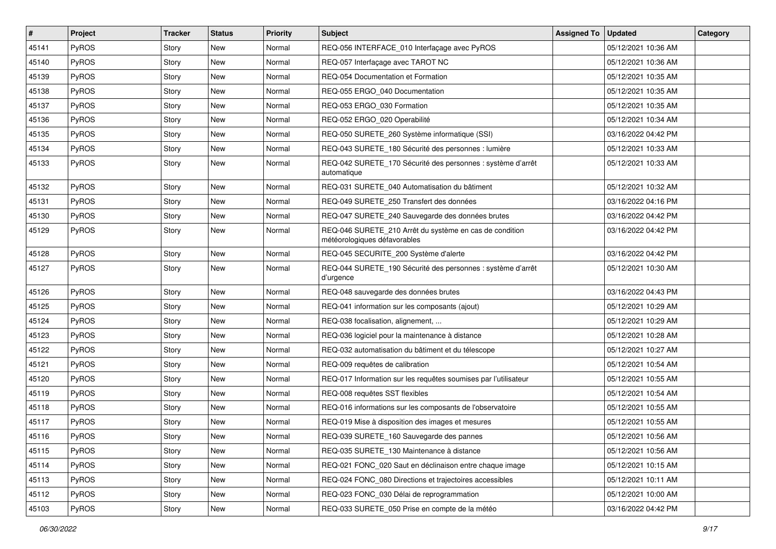| $\sharp$ | Project      | <b>Tracker</b> | <b>Status</b> | <b>Priority</b> | <b>Subject</b>                                                                          | <b>Assigned To</b> | Updated             | Category |
|----------|--------------|----------------|---------------|-----------------|-----------------------------------------------------------------------------------------|--------------------|---------------------|----------|
| 45141    | PyROS        | Story          | New           | Normal          | REQ-056 INTERFACE_010 Interfaçage avec PyROS                                            |                    | 05/12/2021 10:36 AM |          |
| 45140    | PyROS        | Story          | New           | Normal          | REQ-057 Interfaçage avec TAROT NC                                                       |                    | 05/12/2021 10:36 AM |          |
| 45139    | PyROS        | Story          | New           | Normal          | REQ-054 Documentation et Formation                                                      |                    | 05/12/2021 10:35 AM |          |
| 45138    | PyROS        | Story          | New           | Normal          | REQ-055 ERGO 040 Documentation                                                          |                    | 05/12/2021 10:35 AM |          |
| 45137    | PyROS        | Story          | New           | Normal          | REQ-053 ERGO_030 Formation                                                              |                    | 05/12/2021 10:35 AM |          |
| 45136    | PyROS        | Story          | New           | Normal          | REQ-052 ERGO 020 Operabilité                                                            |                    | 05/12/2021 10:34 AM |          |
| 45135    | PyROS        | Story          | <b>New</b>    | Normal          | REQ-050 SURETE_260 Système informatique (SSI)                                           |                    | 03/16/2022 04:42 PM |          |
| 45134    | PyROS        | Story          | New           | Normal          | REQ-043 SURETE_180 Sécurité des personnes : lumière                                     |                    | 05/12/2021 10:33 AM |          |
| 45133    | PyROS        | Story          | New           | Normal          | REQ-042 SURETE_170 Sécurité des personnes : système d'arrêt<br>automatique              |                    | 05/12/2021 10:33 AM |          |
| 45132    | PyROS        | Story          | New           | Normal          | REQ-031 SURETE_040 Automatisation du bâtiment                                           |                    | 05/12/2021 10:32 AM |          |
| 45131    | PyROS        | Story          | New           | Normal          | REQ-049 SURETE_250 Transfert des données                                                |                    | 03/16/2022 04:16 PM |          |
| 45130    | PyROS        | Story          | New           | Normal          | REQ-047 SURETE_240 Sauvegarde des données brutes                                        |                    | 03/16/2022 04:42 PM |          |
| 45129    | PyROS        | Story          | New           | Normal          | REQ-046 SURETE_210 Arrêt du système en cas de condition<br>météorologiques défavorables |                    | 03/16/2022 04:42 PM |          |
| 45128    | PyROS        | Story          | New           | Normal          | REQ-045 SECURITE_200 Système d'alerte                                                   |                    | 03/16/2022 04:42 PM |          |
| 45127    | PyROS        | Story          | New           | Normal          | REQ-044 SURETE_190 Sécurité des personnes : système d'arrêt<br>d'urgence                |                    | 05/12/2021 10:30 AM |          |
| 45126    | <b>PyROS</b> | Story          | <b>New</b>    | Normal          | REQ-048 sauvegarde des données brutes                                                   |                    | 03/16/2022 04:43 PM |          |
| 45125    | PyROS        | Story          | New           | Normal          | REQ-041 information sur les composants (ajout)                                          |                    | 05/12/2021 10:29 AM |          |
| 45124    | PyROS        | Story          | New           | Normal          | REQ-038 focalisation, alignement,                                                       |                    | 05/12/2021 10:29 AM |          |
| 45123    | PyROS        | Story          | New           | Normal          | REQ-036 logiciel pour la maintenance à distance                                         |                    | 05/12/2021 10:28 AM |          |
| 45122    | PyROS        | Story          | New           | Normal          | REQ-032 automatisation du bâtiment et du télescope                                      |                    | 05/12/2021 10:27 AM |          |
| 45121    | PyROS        | Story          | New           | Normal          | REQ-009 requêtes de calibration                                                         |                    | 05/12/2021 10:54 AM |          |
| 45120    | PyROS        | Story          | New           | Normal          | REQ-017 Information sur les requêtes soumises par l'utilisateur                         |                    | 05/12/2021 10:55 AM |          |
| 45119    | PyROS        | Story          | New           | Normal          | REQ-008 requêtes SST flexibles                                                          |                    | 05/12/2021 10:54 AM |          |
| 45118    | PyROS        | Story          | New           | Normal          | REQ-016 informations sur les composants de l'observatoire                               |                    | 05/12/2021 10:55 AM |          |
| 45117    | PyROS        | Story          | <b>New</b>    | Normal          | REQ-019 Mise à disposition des images et mesures                                        |                    | 05/12/2021 10:55 AM |          |
| 45116    | PyROS        | Story          | New           | Normal          | REQ-039 SURETE_160 Sauvegarde des pannes                                                |                    | 05/12/2021 10:56 AM |          |
| 45115    | PyROS        | Story          | New           | Normal          | REQ-035 SURETE_130 Maintenance à distance                                               |                    | 05/12/2021 10:56 AM |          |
| 45114    | PyROS        | Story          | New           | Normal          | REQ-021 FONC_020 Saut en déclinaison entre chaque image                                 |                    | 05/12/2021 10:15 AM |          |
| 45113    | PyROS        | Story          | New           | Normal          | REQ-024 FONC_080 Directions et trajectoires accessibles                                 |                    | 05/12/2021 10:11 AM |          |
| 45112    | PyROS        | Story          | New           | Normal          | REQ-023 FONC_030 Délai de reprogrammation                                               |                    | 05/12/2021 10:00 AM |          |
| 45103    | PyROS        | Story          | New           | Normal          | REQ-033 SURETE_050 Prise en compte de la météo                                          |                    | 03/16/2022 04:42 PM |          |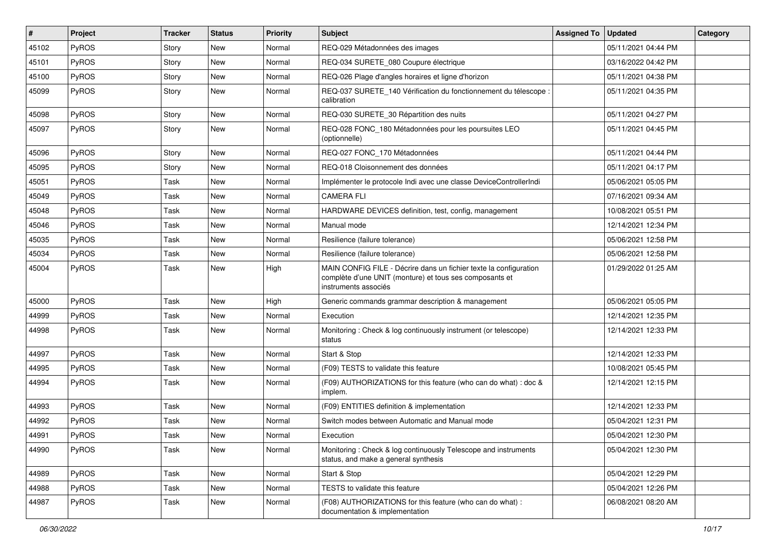| $\sharp$ | Project | <b>Tracker</b> | <b>Status</b> | <b>Priority</b> | <b>Subject</b>                                                                                                                                       | <b>Assigned To</b> | Updated             | Category |
|----------|---------|----------------|---------------|-----------------|------------------------------------------------------------------------------------------------------------------------------------------------------|--------------------|---------------------|----------|
| 45102    | PyROS   | Story          | New           | Normal          | REQ-029 Métadonnées des images                                                                                                                       |                    | 05/11/2021 04:44 PM |          |
| 45101    | PyROS   | Story          | <b>New</b>    | Normal          | REQ-034 SURETE_080 Coupure électrique                                                                                                                |                    | 03/16/2022 04:42 PM |          |
| 45100    | PyROS   | Story          | New           | Normal          | REQ-026 Plage d'angles horaires et ligne d'horizon                                                                                                   |                    | 05/11/2021 04:38 PM |          |
| 45099    | PyROS   | Story          | <b>New</b>    | Normal          | REQ-037 SURETE_140 Vérification du fonctionnement du télescope :<br>calibration                                                                      |                    | 05/11/2021 04:35 PM |          |
| 45098    | PyROS   | Story          | <b>New</b>    | Normal          | REQ-030 SURETE_30 Répartition des nuits                                                                                                              |                    | 05/11/2021 04:27 PM |          |
| 45097    | PyROS   | Story          | <b>New</b>    | Normal          | REQ-028 FONC_180 Métadonnées pour les poursuites LEO<br>(optionnelle)                                                                                |                    | 05/11/2021 04:45 PM |          |
| 45096    | PyROS   | Story          | <b>New</b>    | Normal          | REQ-027 FONC_170 Métadonnées                                                                                                                         |                    | 05/11/2021 04:44 PM |          |
| 45095    | PyROS   | Story          | <b>New</b>    | Normal          | REQ-018 Cloisonnement des données                                                                                                                    |                    | 05/11/2021 04:17 PM |          |
| 45051    | PyROS   | Task           | <b>New</b>    | Normal          | Implémenter le protocole Indi avec une classe DeviceControllerIndi                                                                                   |                    | 05/06/2021 05:05 PM |          |
| 45049    | PyROS   | Task           | <b>New</b>    | Normal          | <b>CAMERA FLI</b>                                                                                                                                    |                    | 07/16/2021 09:34 AM |          |
| 45048    | PyROS   | Task           | <b>New</b>    | Normal          | HARDWARE DEVICES definition, test, config, management                                                                                                |                    | 10/08/2021 05:51 PM |          |
| 45046    | PyROS   | Task           | <b>New</b>    | Normal          | Manual mode                                                                                                                                          |                    | 12/14/2021 12:34 PM |          |
| 45035    | PyROS   | Task           | <b>New</b>    | Normal          | Resilience (failure tolerance)                                                                                                                       |                    | 05/06/2021 12:58 PM |          |
| 45034    | PyROS   | Task           | <b>New</b>    | Normal          | Resilience (failure tolerance)                                                                                                                       |                    | 05/06/2021 12:58 PM |          |
| 45004    | PyROS   | Task           | New           | High            | MAIN CONFIG FILE - Décrire dans un fichier texte la configuration<br>complète d'une UNIT (monture) et tous ses composants et<br>instruments associés |                    | 01/29/2022 01:25 AM |          |
| 45000    | PyROS   | Task           | <b>New</b>    | High            | Generic commands grammar description & management                                                                                                    |                    | 05/06/2021 05:05 PM |          |
| 44999    | PyROS   | Task           | <b>New</b>    | Normal          | Execution                                                                                                                                            |                    | 12/14/2021 12:35 PM |          |
| 44998    | PyROS   | Task           | <b>New</b>    | Normal          | Monitoring: Check & log continuously instrument (or telescope)<br>status                                                                             |                    | 12/14/2021 12:33 PM |          |
| 44997    | PyROS   | Task           | <b>New</b>    | Normal          | Start & Stop                                                                                                                                         |                    | 12/14/2021 12:33 PM |          |
| 44995    | PyROS   | Task           | <b>New</b>    | Normal          | (F09) TESTS to validate this feature                                                                                                                 |                    | 10/08/2021 05:45 PM |          |
| 44994    | PyROS   | Task           | New           | Normal          | (F09) AUTHORIZATIONS for this feature (who can do what) : doc &<br>implem.                                                                           |                    | 12/14/2021 12:15 PM |          |
| 44993    | PyROS   | Task           | <b>New</b>    | Normal          | (F09) ENTITIES definition & implementation                                                                                                           |                    | 12/14/2021 12:33 PM |          |
| 44992    | PyROS   | Task           | <b>New</b>    | Normal          | Switch modes between Automatic and Manual mode                                                                                                       |                    | 05/04/2021 12:31 PM |          |
| 44991    | PyROS   | Task           | New           | Normal          | Execution                                                                                                                                            |                    | 05/04/2021 12:30 PM |          |
| 44990    | PyROS   | Task           | New           | Normal          | Monitoring: Check & log continuously Telescope and instruments<br>status, and make a general synthesis                                               |                    | 05/04/2021 12:30 PM |          |
| 44989    | PyROS   | Task           | New           | Normal          | Start & Stop                                                                                                                                         |                    | 05/04/2021 12:29 PM |          |
| 44988    | PyROS   | Task           | New           | Normal          | TESTS to validate this feature                                                                                                                       |                    | 05/04/2021 12:26 PM |          |
| 44987    | PyROS   | Task           | New           | Normal          | (F08) AUTHORIZATIONS for this feature (who can do what) :<br>documentation & implementation                                                          |                    | 06/08/2021 08:20 AM |          |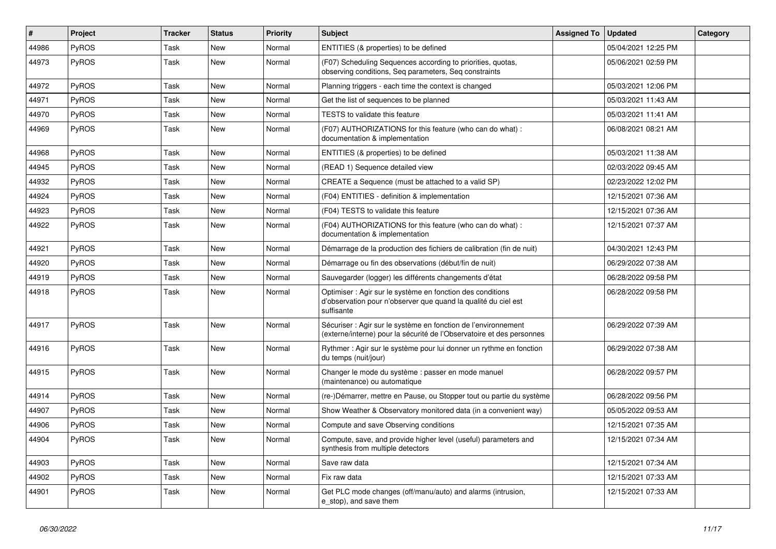| $\vert$ # | Project      | <b>Tracker</b> | <b>Status</b> | <b>Priority</b> | <b>Subject</b>                                                                                                                             | <b>Assigned To</b> | <b>Updated</b>      | Category |
|-----------|--------------|----------------|---------------|-----------------|--------------------------------------------------------------------------------------------------------------------------------------------|--------------------|---------------------|----------|
| 44986     | <b>PyROS</b> | Task           | <b>New</b>    | Normal          | ENTITIES (& properties) to be defined                                                                                                      |                    | 05/04/2021 12:25 PM |          |
| 44973     | <b>PyROS</b> | Task           | New           | Normal          | (F07) Scheduling Sequences according to priorities, quotas,<br>observing conditions, Seq parameters, Seq constraints                       |                    | 05/06/2021 02:59 PM |          |
| 44972     | <b>PyROS</b> | Task           | <b>New</b>    | Normal          | Planning triggers - each time the context is changed                                                                                       |                    | 05/03/2021 12:06 PM |          |
| 44971     | <b>PyROS</b> | Task           | <b>New</b>    | Normal          | Get the list of sequences to be planned                                                                                                    |                    | 05/03/2021 11:43 AM |          |
| 44970     | PyROS        | Task           | <b>New</b>    | Normal          | TESTS to validate this feature                                                                                                             |                    | 05/03/2021 11:41 AM |          |
| 44969     | <b>PyROS</b> | Task           | <b>New</b>    | Normal          | (F07) AUTHORIZATIONS for this feature (who can do what) :<br>documentation & implementation                                                |                    | 06/08/2021 08:21 AM |          |
| 44968     | <b>PyROS</b> | Task           | <b>New</b>    | Normal          | ENTITIES (& properties) to be defined                                                                                                      |                    | 05/03/2021 11:38 AM |          |
| 44945     | <b>PyROS</b> | Task           | New           | Normal          | (READ 1) Sequence detailed view                                                                                                            |                    | 02/03/2022 09:45 AM |          |
| 44932     | <b>PyROS</b> | Task           | <b>New</b>    | Normal          | CREATE a Sequence (must be attached to a valid SP)                                                                                         |                    | 02/23/2022 12:02 PM |          |
| 44924     | PyROS        | Task           | <b>New</b>    | Normal          | (F04) ENTITIES - definition & implementation                                                                                               |                    | 12/15/2021 07:36 AM |          |
| 44923     | <b>PyROS</b> | Task           | <b>New</b>    | Normal          | (F04) TESTS to validate this feature                                                                                                       |                    | 12/15/2021 07:36 AM |          |
| 44922     | <b>PyROS</b> | Task           | <b>New</b>    | Normal          | (F04) AUTHORIZATIONS for this feature (who can do what) :<br>documentation & implementation                                                |                    | 12/15/2021 07:37 AM |          |
| 44921     | <b>PyROS</b> | Task           | <b>New</b>    | Normal          | Démarrage de la production des fichiers de calibration (fin de nuit)                                                                       |                    | 04/30/2021 12:43 PM |          |
| 44920     | <b>PyROS</b> | Task           | <b>New</b>    | Normal          | Démarrage ou fin des observations (début/fin de nuit)                                                                                      |                    | 06/29/2022 07:38 AM |          |
| 44919     | <b>PyROS</b> | Task           | <b>New</b>    | Normal          | Sauvegarder (logger) les différents changements d'état                                                                                     |                    | 06/28/2022 09:58 PM |          |
| 44918     | <b>PyROS</b> | Task           | <b>New</b>    | Normal          | Optimiser : Agir sur le système en fonction des conditions<br>d'observation pour n'observer que quand la qualité du ciel est<br>suffisante |                    | 06/28/2022 09:58 PM |          |
| 44917     | <b>PyROS</b> | Task           | New           | Normal          | Sécuriser : Agir sur le système en fonction de l'environnement<br>(externe/interne) pour la sécurité de l'Observatoire et des personnes    |                    | 06/29/2022 07:39 AM |          |
| 44916     | <b>PyROS</b> | Task           | <b>New</b>    | Normal          | Rythmer : Agir sur le système pour lui donner un rythme en fonction<br>du temps (nuit/jour)                                                |                    | 06/29/2022 07:38 AM |          |
| 44915     | <b>PyROS</b> | Task           | <b>New</b>    | Normal          | Changer le mode du système : passer en mode manuel<br>(maintenance) ou automatique                                                         |                    | 06/28/2022 09:57 PM |          |
| 44914     | <b>PyROS</b> | Task           | New           | Normal          | (re-)Démarrer, mettre en Pause, ou Stopper tout ou partie du système                                                                       |                    | 06/28/2022 09:56 PM |          |
| 44907     | <b>PyROS</b> | Task           | <b>New</b>    | Normal          | Show Weather & Observatory monitored data (in a convenient way)                                                                            |                    | 05/05/2022 09:53 AM |          |
| 44906     | <b>PyROS</b> | Task           | <b>New</b>    | Normal          | Compute and save Observing conditions                                                                                                      |                    | 12/15/2021 07:35 AM |          |
| 44904     | <b>PyROS</b> | Task           | <b>New</b>    | Normal          | Compute, save, and provide higher level (useful) parameters and<br>synthesis from multiple detectors                                       |                    | 12/15/2021 07:34 AM |          |
| 44903     | PyROS        | Task           | <b>New</b>    | Normal          | Save raw data                                                                                                                              |                    | 12/15/2021 07:34 AM |          |
| 44902     | <b>PyROS</b> | Task           | <b>New</b>    | Normal          | Fix raw data                                                                                                                               |                    | 12/15/2021 07:33 AM |          |
| 44901     | <b>PyROS</b> | Task           | <b>New</b>    | Normal          | Get PLC mode changes (off/manu/auto) and alarms (intrusion,<br>e stop), and save them                                                      |                    | 12/15/2021 07:33 AM |          |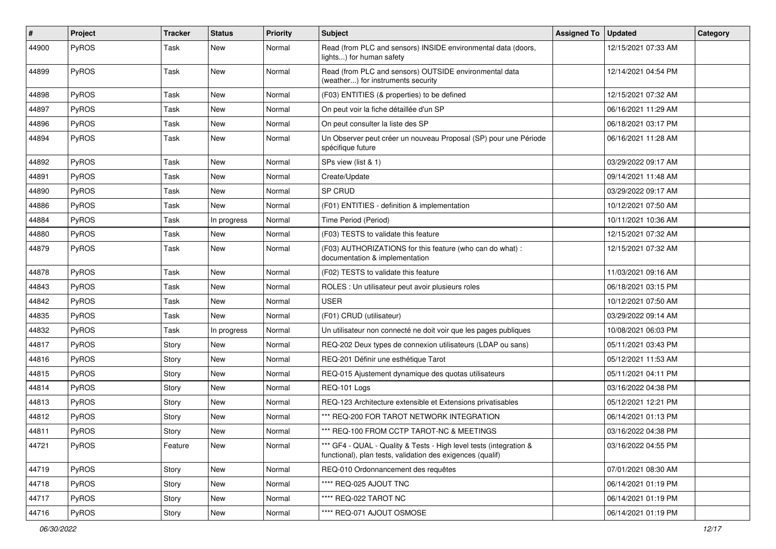| $\vert$ # | Project      | Tracker | <b>Status</b> | <b>Priority</b> | <b>Subject</b>                                                                                                                   | <b>Assigned To</b> | <b>Updated</b>      | Category |
|-----------|--------------|---------|---------------|-----------------|----------------------------------------------------------------------------------------------------------------------------------|--------------------|---------------------|----------|
| 44900     | PyROS        | Task    | New           | Normal          | Read (from PLC and sensors) INSIDE environmental data (doors,<br>lights) for human safety                                        |                    | 12/15/2021 07:33 AM |          |
| 44899     | PyROS        | Task    | <b>New</b>    | Normal          | Read (from PLC and sensors) OUTSIDE environmental data<br>(weather) for instruments security                                     |                    | 12/14/2021 04:54 PM |          |
| 44898     | PyROS        | Task    | <b>New</b>    | Normal          | (F03) ENTITIES (& properties) to be defined                                                                                      |                    | 12/15/2021 07:32 AM |          |
| 44897     | PyROS        | Task    | <b>New</b>    | Normal          | On peut voir la fiche détaillée d'un SP                                                                                          |                    | 06/16/2021 11:29 AM |          |
| 44896     | PyROS        | Task    | <b>New</b>    | Normal          | On peut consulter la liste des SP                                                                                                |                    | 06/18/2021 03:17 PM |          |
| 44894     | PyROS        | Task    | <b>New</b>    | Normal          | Un Observer peut créer un nouveau Proposal (SP) pour une Période<br>spécifique future                                            |                    | 06/16/2021 11:28 AM |          |
| 44892     | PyROS        | Task    | <b>New</b>    | Normal          | SPs view (list & 1)                                                                                                              |                    | 03/29/2022 09:17 AM |          |
| 44891     | PyROS        | Task    | <b>New</b>    | Normal          | Create/Update                                                                                                                    |                    | 09/14/2021 11:48 AM |          |
| 44890     | PyROS        | Task    | <b>New</b>    | Normal          | SP CRUD                                                                                                                          |                    | 03/29/2022 09:17 AM |          |
| 44886     | PyROS        | Task    | <b>New</b>    | Normal          | (F01) ENTITIES - definition & implementation                                                                                     |                    | 10/12/2021 07:50 AM |          |
| 44884     | PyROS        | Task    | In progress   | Normal          | Time Period (Period)                                                                                                             |                    | 10/11/2021 10:36 AM |          |
| 44880     | PyROS        | Task    | <b>New</b>    | Normal          | (F03) TESTS to validate this feature                                                                                             |                    | 12/15/2021 07:32 AM |          |
| 44879     | PyROS        | Task    | <b>New</b>    | Normal          | (F03) AUTHORIZATIONS for this feature (who can do what) :<br>documentation & implementation                                      |                    | 12/15/2021 07:32 AM |          |
| 44878     | PyROS        | Task    | <b>New</b>    | Normal          | (F02) TESTS to validate this feature                                                                                             |                    | 11/03/2021 09:16 AM |          |
| 44843     | PyROS        | Task    | <b>New</b>    | Normal          | ROLES : Un utilisateur peut avoir plusieurs roles                                                                                |                    | 06/18/2021 03:15 PM |          |
| 44842     | PyROS        | Task    | <b>New</b>    | Normal          | <b>USER</b>                                                                                                                      |                    | 10/12/2021 07:50 AM |          |
| 44835     | PyROS        | Task    | <b>New</b>    | Normal          | (F01) CRUD (utilisateur)                                                                                                         |                    | 03/29/2022 09:14 AM |          |
| 44832     | PyROS        | Task    | In progress   | Normal          | Un utilisateur non connecté ne doit voir que les pages publiques                                                                 |                    | 10/08/2021 06:03 PM |          |
| 44817     | PyROS        | Story   | <b>New</b>    | Normal          | REQ-202 Deux types de connexion utilisateurs (LDAP ou sans)                                                                      |                    | 05/11/2021 03:43 PM |          |
| 44816     | PyROS        | Story   | New           | Normal          | REQ-201 Définir une esthétique Tarot                                                                                             |                    | 05/12/2021 11:53 AM |          |
| 44815     | PyROS        | Story   | <b>New</b>    | Normal          | REQ-015 Ajustement dynamique des quotas utilisateurs                                                                             |                    | 05/11/2021 04:11 PM |          |
| 44814     | PyROS        | Story   | <b>New</b>    | Normal          | REQ-101 Logs                                                                                                                     |                    | 03/16/2022 04:38 PM |          |
| 44813     | <b>PyROS</b> | Story   | <b>New</b>    | Normal          | REQ-123 Architecture extensible et Extensions privatisables                                                                      |                    | 05/12/2021 12:21 PM |          |
| 44812     | PyROS        | Story   | <b>New</b>    | Normal          | *** REQ-200 FOR TAROT NETWORK INTEGRATION                                                                                        |                    | 06/14/2021 01:13 PM |          |
| 44811     | PyROS        | Story   | New           | Normal          | *** REQ-100 FROM CCTP TAROT-NC & MEETINGS                                                                                        |                    | 03/16/2022 04:38 PM |          |
| 44721     | PyROS        | Feature | New           | Normal          | *** GF4 - QUAL - Quality & Tests - High level tests (integration &<br>functional), plan tests, validation des exigences (qualif) |                    | 03/16/2022 04:55 PM |          |
| 44719     | PyROS        | Story   | New           | Normal          | REQ-010 Ordonnancement des requêtes                                                                                              |                    | 07/01/2021 08:30 AM |          |
| 44718     | PyROS        | Story   | New           | Normal          | **** REQ-025 AJOUT TNC                                                                                                           |                    | 06/14/2021 01:19 PM |          |
| 44717     | PyROS        | Story   | New           | Normal          | **** REQ-022 TAROT NC                                                                                                            |                    | 06/14/2021 01:19 PM |          |
| 44716     | PyROS        | Story   | New           | Normal          | **** REQ-071 AJOUT OSMOSE                                                                                                        |                    | 06/14/2021 01:19 PM |          |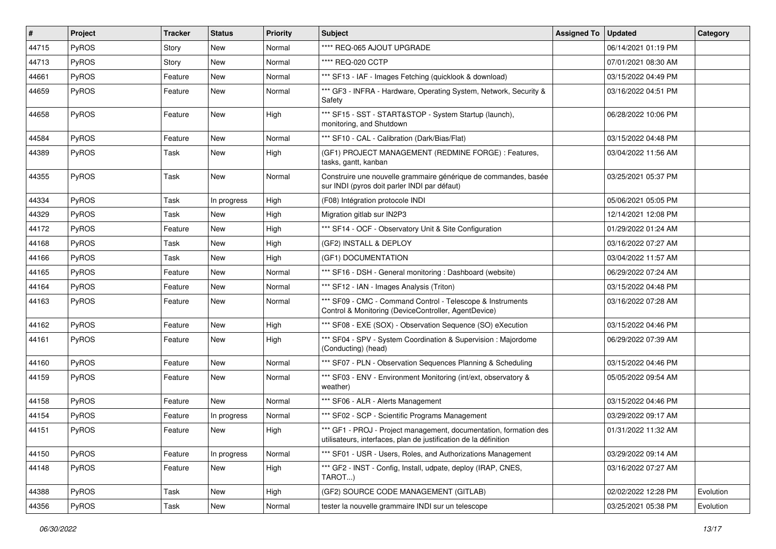| #     | Project      | <b>Tracker</b> | <b>Status</b> | <b>Priority</b> | <b>Subject</b>                                                                                                                        | <b>Assigned To</b> | <b>Updated</b>      | Category  |
|-------|--------------|----------------|---------------|-----------------|---------------------------------------------------------------------------------------------------------------------------------------|--------------------|---------------------|-----------|
| 44715 | PyROS        | Story          | <b>New</b>    | Normal          | **** REQ-065 AJOUT UPGRADE                                                                                                            |                    | 06/14/2021 01:19 PM |           |
| 44713 | PyROS        | Story          | New           | Normal          | **** REQ-020 CCTP                                                                                                                     |                    | 07/01/2021 08:30 AM |           |
| 44661 | PyROS        | Feature        | New           | Normal          | *** SF13 - IAF - Images Fetching (quicklook & download)                                                                               |                    | 03/15/2022 04:49 PM |           |
| 44659 | PyROS        | Feature        | New           | Normal          | *** GF3 - INFRA - Hardware, Operating System, Network, Security &<br>Safety                                                           |                    | 03/16/2022 04:51 PM |           |
| 44658 | PyROS        | Feature        | New           | High            | *** SF15 - SST - START&STOP - System Startup (launch),<br>monitoring, and Shutdown                                                    |                    | 06/28/2022 10:06 PM |           |
| 44584 | PyROS        | Feature        | New           | Normal          | *** SF10 - CAL - Calibration (Dark/Bias/Flat)                                                                                         |                    | 03/15/2022 04:48 PM |           |
| 44389 | PyROS        | Task           | <b>New</b>    | High            | (GF1) PROJECT MANAGEMENT (REDMINE FORGE) : Features,<br>tasks, gantt, kanban                                                          |                    | 03/04/2022 11:56 AM |           |
| 44355 | PyROS        | Task           | <b>New</b>    | Normal          | Construire une nouvelle grammaire générique de commandes, basée<br>sur INDI (pyros doit parler INDI par défaut)                       |                    | 03/25/2021 05:37 PM |           |
| 44334 | PyROS        | Task           | In progress   | High            | (F08) Intégration protocole INDI                                                                                                      |                    | 05/06/2021 05:05 PM |           |
| 44329 | <b>PyROS</b> | Task           | New           | High            | Migration gitlab sur IN2P3                                                                                                            |                    | 12/14/2021 12:08 PM |           |
| 44172 | PyROS        | Feature        | <b>New</b>    | High            | *** SF14 - OCF - Observatory Unit & Site Configuration                                                                                |                    | 01/29/2022 01:24 AM |           |
| 44168 | PyROS        | Task           | New           | High            | (GF2) INSTALL & DEPLOY                                                                                                                |                    | 03/16/2022 07:27 AM |           |
| 44166 | PyROS        | Task           | <b>New</b>    | High            | (GF1) DOCUMENTATION                                                                                                                   |                    | 03/04/2022 11:57 AM |           |
| 44165 | PyROS        | Feature        | <b>New</b>    | Normal          | *** SF16 - DSH - General monitoring : Dashboard (website)                                                                             |                    | 06/29/2022 07:24 AM |           |
| 44164 | PyROS        | Feature        | New           | Normal          | *** SF12 - IAN - Images Analysis (Triton)                                                                                             |                    | 03/15/2022 04:48 PM |           |
| 44163 | PyROS        | Feature        | New           | Normal          | *** SF09 - CMC - Command Control - Telescope & Instruments<br>Control & Monitoring (DeviceController, AgentDevice)                    |                    | 03/16/2022 07:28 AM |           |
| 44162 | PyROS        | Feature        | New           | High            | *** SF08 - EXE (SOX) - Observation Sequence (SO) eXecution                                                                            |                    | 03/15/2022 04:46 PM |           |
| 44161 | PyROS        | Feature        | New           | High            | *** SF04 - SPV - System Coordination & Supervision : Majordome<br>(Conducting) (head)                                                 |                    | 06/29/2022 07:39 AM |           |
| 44160 | PyROS        | Feature        | <b>New</b>    | Normal          | *** SF07 - PLN - Observation Sequences Planning & Scheduling                                                                          |                    | 03/15/2022 04:46 PM |           |
| 44159 | PyROS        | Feature        | New           | Normal          | *** SF03 - ENV - Environment Monitoring (int/ext, observatory &<br>weather)                                                           |                    | 05/05/2022 09:54 AM |           |
| 44158 | PyROS        | Feature        | New           | Normal          | *** SF06 - ALR - Alerts Management                                                                                                    |                    | 03/15/2022 04:46 PM |           |
| 44154 | PyROS        | Feature        | In progress   | Normal          | *** SF02 - SCP - Scientific Programs Management                                                                                       |                    | 03/29/2022 09:17 AM |           |
| 44151 | PyROS        | Feature        | New           | High            | *** GF1 - PROJ - Project management, documentation, formation des<br>utilisateurs, interfaces, plan de justification de la définition |                    | 01/31/2022 11:32 AM |           |
| 44150 | PyROS        | Feature        | In progress   | Normal          | *** SF01 - USR - Users, Roles, and Authorizations Management                                                                          |                    | 03/29/2022 09:14 AM |           |
| 44148 | PyROS        | Feature        | New           | High            | *** GF2 - INST - Config, Install, udpate, deploy (IRAP, CNES,<br>TAROT)                                                               |                    | 03/16/2022 07:27 AM |           |
| 44388 | PyROS        | Task           | New           | High            | (GF2) SOURCE CODE MANAGEMENT (GITLAB)                                                                                                 |                    | 02/02/2022 12:28 PM | Evolution |
| 44356 | PyROS        | Task           | New           | Normal          | tester la nouvelle grammaire INDI sur un telescope                                                                                    |                    | 03/25/2021 05:38 PM | Evolution |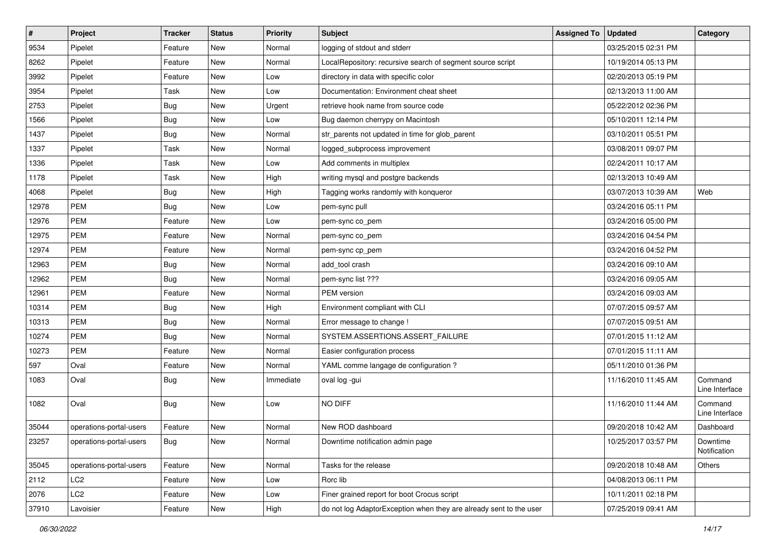| $\sharp$ | Project                 | <b>Tracker</b> | <b>Status</b> | <b>Priority</b> | Subject                                                            | <b>Assigned To</b> | <b>Updated</b>      | Category                  |
|----------|-------------------------|----------------|---------------|-----------------|--------------------------------------------------------------------|--------------------|---------------------|---------------------------|
| 9534     | Pipelet                 | Feature        | New           | Normal          | logging of stdout and stderr                                       |                    | 03/25/2015 02:31 PM |                           |
| 8262     | Pipelet                 | Feature        | <b>New</b>    | Normal          | LocalRepository: recursive search of segment source script         |                    | 10/19/2014 05:13 PM |                           |
| 3992     | Pipelet                 | Feature        | <b>New</b>    | Low             | directory in data with specific color                              |                    | 02/20/2013 05:19 PM |                           |
| 3954     | Pipelet                 | Task           | <b>New</b>    | Low             | Documentation: Environment cheat sheet                             |                    | 02/13/2013 11:00 AM |                           |
| 2753     | Pipelet                 | <b>Bug</b>     | <b>New</b>    | Urgent          | retrieve hook name from source code                                |                    | 05/22/2012 02:36 PM |                           |
| 1566     | Pipelet                 | <b>Bug</b>     | <b>New</b>    | Low             | Bug daemon cherrypy on Macintosh                                   |                    | 05/10/2011 12:14 PM |                           |
| 1437     | Pipelet                 | <b>Bug</b>     | <b>New</b>    | Normal          | str_parents not updated in time for glob_parent                    |                    | 03/10/2011 05:51 PM |                           |
| 1337     | Pipelet                 | Task           | <b>New</b>    | Normal          | logged_subprocess improvement                                      |                    | 03/08/2011 09:07 PM |                           |
| 1336     | Pipelet                 | Task           | New           | Low             | Add comments in multiplex                                          |                    | 02/24/2011 10:17 AM |                           |
| 1178     | Pipelet                 | Task           | <b>New</b>    | High            | writing mysql and postgre backends                                 |                    | 02/13/2013 10:49 AM |                           |
| 4068     | Pipelet                 | <b>Bug</b>     | <b>New</b>    | High            | Tagging works randomly with konqueror                              |                    | 03/07/2013 10:39 AM | Web                       |
| 12978    | <b>PEM</b>              | <b>Bug</b>     | <b>New</b>    | Low             | pem-sync pull                                                      |                    | 03/24/2016 05:11 PM |                           |
| 12976    | PEM                     | Feature        | <b>New</b>    | Low             | pem-sync co_pem                                                    |                    | 03/24/2016 05:00 PM |                           |
| 12975    | PEM                     | Feature        | <b>New</b>    | Normal          | pem-sync co pem                                                    |                    | 03/24/2016 04:54 PM |                           |
| 12974    | PEM                     | Feature        | <b>New</b>    | Normal          | pem-sync cp_pem                                                    |                    | 03/24/2016 04:52 PM |                           |
| 12963    | <b>PEM</b>              | <b>Bug</b>     | <b>New</b>    | Normal          | add tool crash                                                     |                    | 03/24/2016 09:10 AM |                           |
| 12962    | PEM                     | <b>Bug</b>     | <b>New</b>    | Normal          | pem-sync list ???                                                  |                    | 03/24/2016 09:05 AM |                           |
| 12961    | PEM                     | Feature        | <b>New</b>    | Normal          | PEM version                                                        |                    | 03/24/2016 09:03 AM |                           |
| 10314    | PEM                     | <b>Bug</b>     | New           | High            | Environment compliant with CLI                                     |                    | 07/07/2015 09:57 AM |                           |
| 10313    | PEM                     | <b>Bug</b>     | <b>New</b>    | Normal          | Error message to change !                                          |                    | 07/07/2015 09:51 AM |                           |
| 10274    | PEM                     | <b>Bug</b>     | <b>New</b>    | Normal          | SYSTEM.ASSERTIONS.ASSERT_FAILURE                                   |                    | 07/01/2015 11:12 AM |                           |
| 10273    | PEM                     | Feature        | New           | Normal          | Easier configuration process                                       |                    | 07/01/2015 11:11 AM |                           |
| 597      | Oval                    | Feature        | <b>New</b>    | Normal          | YAML comme langage de configuration ?                              |                    | 05/11/2010 01:36 PM |                           |
| 1083     | Oval                    | <b>Bug</b>     | New           | Immediate       | oval log -gui                                                      |                    | 11/16/2010 11:45 AM | Command<br>Line Interface |
| 1082     | Oval                    | <b>Bug</b>     | <b>New</b>    | Low             | NO DIFF                                                            |                    | 11/16/2010 11:44 AM | Command<br>Line Interface |
| 35044    | operations-portal-users | Feature        | <b>New</b>    | Normal          | New ROD dashboard                                                  |                    | 09/20/2018 10:42 AM | Dashboard                 |
| 23257    | operations-portal-users | <b>Bug</b>     | New           | Normal          | Downtime notification admin page                                   |                    | 10/25/2017 03:57 PM | Downtime<br>Notification  |
| 35045    | operations-portal-users | Feature        | New           | Normal          | Tasks for the release                                              |                    | 09/20/2018 10:48 AM | Others                    |
| 2112     | LC2                     | Feature        | New           | Low             | Rorc lib                                                           |                    | 04/08/2013 06:11 PM |                           |
| 2076     | LC <sub>2</sub>         | Feature        | New           | Low             | Finer grained report for boot Crocus script                        |                    | 10/11/2011 02:18 PM |                           |
| 37910    | Lavoisier               | Feature        | New           | High            | do not log AdaptorException when they are already sent to the user |                    | 07/25/2019 09:41 AM |                           |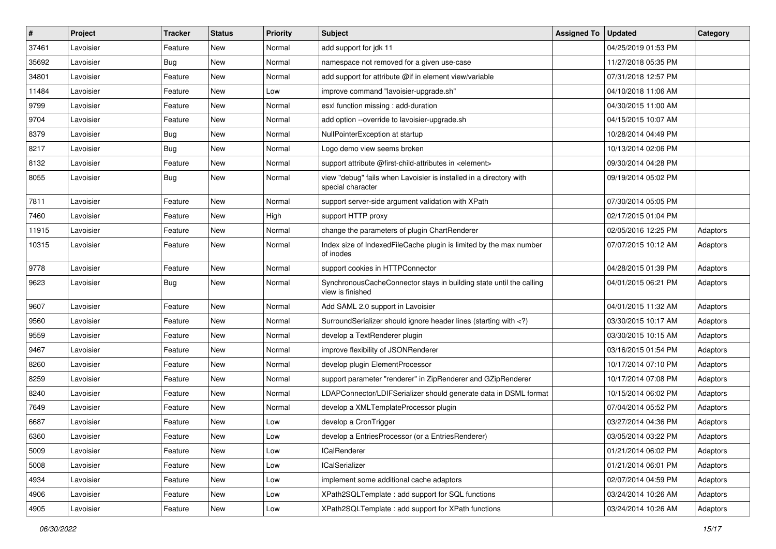| $\sharp$ | Project   | <b>Tracker</b> | <b>Status</b> | <b>Priority</b> | Subject                                                                                                                     | <b>Assigned To</b> | <b>Updated</b>      | Category |
|----------|-----------|----------------|---------------|-----------------|-----------------------------------------------------------------------------------------------------------------------------|--------------------|---------------------|----------|
| 37461    | Lavoisier | Feature        | New           | Normal          | add support for jdk 11                                                                                                      |                    | 04/25/2019 01:53 PM |          |
| 35692    | Lavoisier | <b>Bug</b>     | <b>New</b>    | Normal          | namespace not removed for a given use-case                                                                                  |                    | 11/27/2018 05:35 PM |          |
| 34801    | Lavoisier | Feature        | New           | Normal          | add support for attribute @if in element view/variable                                                                      |                    | 07/31/2018 12:57 PM |          |
| 11484    | Lavoisier | Feature        | New           | Low             | improve command "lavoisier-upgrade.sh"                                                                                      |                    | 04/10/2018 11:06 AM |          |
| 9799     | Lavoisier | Feature        | New           | Normal          | esxl function missing : add-duration                                                                                        |                    | 04/30/2015 11:00 AM |          |
| 9704     | Lavoisier | Feature        | New           | Normal          | add option --override to lavoisier-upgrade.sh                                                                               |                    | 04/15/2015 10:07 AM |          |
| 8379     | Lavoisier | <b>Bug</b>     | New           | Normal          | NullPointerException at startup                                                                                             |                    | 10/28/2014 04:49 PM |          |
| 8217     | Lavoisier | <b>Bug</b>     | New           | Normal          | Logo demo view seems broken                                                                                                 |                    | 10/13/2014 02:06 PM |          |
| 8132     | Lavoisier | Feature        | New           | Normal          | support attribute @first-child-attributes in <element></element>                                                            |                    | 09/30/2014 04:28 PM |          |
| 8055     | Lavoisier | Bug            | <b>New</b>    | Normal          | view "debug" fails when Lavoisier is installed in a directory with<br>special character                                     |                    | 09/19/2014 05:02 PM |          |
| 7811     | Lavoisier | Feature        | New           | Normal          | support server-side argument validation with XPath                                                                          |                    | 07/30/2014 05:05 PM |          |
| 7460     | Lavoisier | Feature        | New           | High            | support HTTP proxy                                                                                                          |                    | 02/17/2015 01:04 PM |          |
| 11915    | Lavoisier | Feature        | New           | Normal          | change the parameters of plugin ChartRenderer                                                                               |                    | 02/05/2016 12:25 PM | Adaptors |
| 10315    | Lavoisier | Feature        | New           | Normal          | Index size of IndexedFileCache plugin is limited by the max number<br>of inodes                                             |                    | 07/07/2015 10:12 AM | Adaptors |
| 9778     | Lavoisier | Feature        | New           | Normal          | support cookies in HTTPConnector                                                                                            |                    | 04/28/2015 01:39 PM | Adaptors |
| 9623     | Lavoisier | Bug            | New           | Normal          | SynchronousCacheConnector stays in building state until the calling<br>view is finished                                     |                    | 04/01/2015 06:21 PM | Adaptors |
| 9607     | Lavoisier | Feature        | <b>New</b>    | Normal          | Add SAML 2.0 support in Lavoisier                                                                                           |                    | 04/01/2015 11:32 AM | Adaptors |
| 9560     | Lavoisier | Feature        | New           | Normal          | SurroundSerializer should ignore header lines (starting with )</td <td></td> <td>03/30/2015 10:17 AM</td> <td>Adaptors</td> |                    | 03/30/2015 10:17 AM | Adaptors |
| 9559     | Lavoisier | Feature        | New           | Normal          | develop a TextRenderer plugin                                                                                               |                    | 03/30/2015 10:15 AM | Adaptors |
| 9467     | Lavoisier | Feature        | New           | Normal          | improve flexibility of JSONRenderer                                                                                         |                    | 03/16/2015 01:54 PM | Adaptors |
| 8260     | Lavoisier | Feature        | New           | Normal          | develop plugin ElementProcessor                                                                                             |                    | 10/17/2014 07:10 PM | Adaptors |
| 8259     | Lavoisier | Feature        | New           | Normal          | support parameter "renderer" in ZipRenderer and GZipRenderer                                                                |                    | 10/17/2014 07:08 PM | Adaptors |
| 8240     | Lavoisier | Feature        | New           | Normal          | LDAPConnector/LDIFSerializer should generate data in DSML format                                                            |                    | 10/15/2014 06:02 PM | Adaptors |
| 7649     | Lavoisier | Feature        | New           | Normal          | develop a XMLTemplateProcessor plugin                                                                                       |                    | 07/04/2014 05:52 PM | Adaptors |
| 6687     | Lavoisier | Feature        | New           | Low             | develop a CronTrigger                                                                                                       |                    | 03/27/2014 04:36 PM | Adaptors |
| 6360     | Lavoisier | Feature        | New           | Low             | develop a EntriesProcessor (or a EntriesRenderer)                                                                           |                    | 03/05/2014 03:22 PM | Adaptors |
| 5009     | Lavoisier | Feature        | New           | Low             | <b>ICalRenderer</b>                                                                                                         |                    | 01/21/2014 06:02 PM | Adaptors |
| 5008     | Lavoisier | Feature        | New           | Low             | <b>ICalSerializer</b>                                                                                                       |                    | 01/21/2014 06:01 PM | Adaptors |
| 4934     | Lavoisier | Feature        | New           | Low             | implement some additional cache adaptors                                                                                    |                    | 02/07/2014 04:59 PM | Adaptors |
| 4906     | Lavoisier | Feature        | New           | Low             | XPath2SQLTemplate : add support for SQL functions                                                                           |                    | 03/24/2014 10:26 AM | Adaptors |
| 4905     | Lavoisier | Feature        | New           | Low             | XPath2SQLTemplate: add support for XPath functions                                                                          |                    | 03/24/2014 10:26 AM | Adaptors |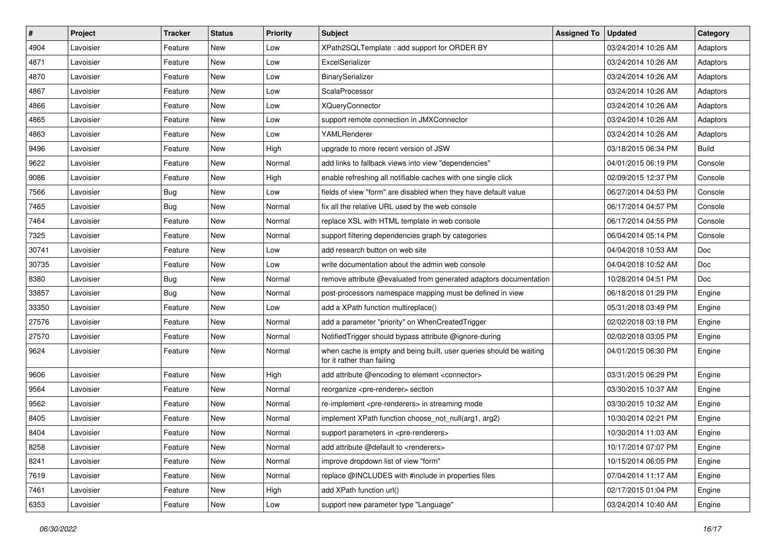| $\vert$ # | Project   | <b>Tracker</b> | <b>Status</b> | <b>Priority</b> | <b>Subject</b>                                                                                    | <b>Assigned To</b> | <b>Updated</b>      | Category     |
|-----------|-----------|----------------|---------------|-----------------|---------------------------------------------------------------------------------------------------|--------------------|---------------------|--------------|
| 4904      | Lavoisier | Feature        | New           | Low             | XPath2SQLTemplate: add support for ORDER BY                                                       |                    | 03/24/2014 10:26 AM | Adaptors     |
| 4871      | Lavoisier | Feature        | <b>New</b>    | Low             | ExcelSerializer                                                                                   |                    | 03/24/2014 10:26 AM | Adaptors     |
| 4870      | Lavoisier | Feature        | New           | Low             | BinarySerializer                                                                                  |                    | 03/24/2014 10:26 AM | Adaptors     |
| 4867      | Lavoisier | Feature        | New           | Low             | ScalaProcessor                                                                                    |                    | 03/24/2014 10:26 AM | Adaptors     |
| 4866      | Lavoisier | Feature        | New           | Low             | <b>XQueryConnector</b>                                                                            |                    | 03/24/2014 10:26 AM | Adaptors     |
| 4865      | Lavoisier | Feature        | New           | Low             | support remote connection in JMXConnector                                                         |                    | 03/24/2014 10:26 AM | Adaptors     |
| 4863      | Lavoisier | Feature        | New           | Low             | YAMLRenderer                                                                                      |                    | 03/24/2014 10:26 AM | Adaptors     |
| 9496      | Lavoisier | Feature        | New           | High            | upgrade to more recent version of JSW                                                             |                    | 03/18/2015 06:34 PM | <b>Build</b> |
| 9622      | Lavoisier | Feature        | New           | Normal          | add links to fallback views into view "dependencies"                                              |                    | 04/01/2015 06:19 PM | Console      |
| 9086      | Lavoisier | Feature        | <b>New</b>    | High            | enable refreshing all notifiable caches with one single click                                     |                    | 02/09/2015 12:37 PM | Console      |
| 7566      | Lavoisier | <b>Bug</b>     | New           | Low             | fields of view "form" are disabled when they have default value                                   |                    | 06/27/2014 04:53 PM | Console      |
| 7465      | Lavoisier | Bug            | <b>New</b>    | Normal          | fix all the relative URL used by the web console                                                  |                    | 06/17/2014 04:57 PM | Console      |
| 7464      | Lavoisier | Feature        | New           | Normal          | replace XSL with HTML template in web console                                                     |                    | 06/17/2014 04:55 PM | Console      |
| 7325      | Lavoisier | Feature        | New           | Normal          | support filtering dependencies graph by categories                                                |                    | 06/04/2014 05:14 PM | Console      |
| 30741     | Lavoisier | Feature        | <b>New</b>    | Low             | add research button on web site                                                                   |                    | 04/04/2018 10:53 AM | Doc          |
| 30735     | Lavoisier | Feature        | New           | Low             | write documentation about the admin web console                                                   |                    | 04/04/2018 10:52 AM | Doc          |
| 8380      | Lavoisier | Bug            | <b>New</b>    | Normal          | remove attribute @evaluated from generated adaptors documentation                                 |                    | 10/28/2014 04:51 PM | Doc          |
| 33857     | Lavoisier | Bug            | New           | Normal          | post-processors namespace mapping must be defined in view                                         |                    | 06/18/2018 01:29 PM | Engine       |
| 33350     | Lavoisier | Feature        | <b>New</b>    | Low             | add a XPath function multireplace()                                                               |                    | 05/31/2018 03:49 PM | Engine       |
| 27576     | Lavoisier | Feature        | <b>New</b>    | Normal          | add a parameter "priority" on WhenCreatedTrigger                                                  |                    | 02/02/2018 03:18 PM | Engine       |
| 27570     | Lavoisier | Feature        | New           | Normal          | Notified Trigger should bypass attribute @ignore-during                                           |                    | 02/02/2018 03:05 PM | Engine       |
| 9624      | Lavoisier | Feature        | New           | Normal          | when cache is empty and being built, user queries should be waiting<br>for it rather than failing |                    | 04/01/2015 06:30 PM | Engine       |
| 9606      | Lavoisier | Feature        | <b>New</b>    | High            | add attribute @encoding to element <connector></connector>                                        |                    | 03/31/2015 06:29 PM | Engine       |
| 9564      | Lavoisier | Feature        | <b>New</b>    | Normal          | reorganize <pre-renderer> section</pre-renderer>                                                  |                    | 03/30/2015 10:37 AM | Engine       |
| 9562      | Lavoisier | Feature        | New           | Normal          | re-implement <pre-renderers> in streaming mode</pre-renderers>                                    |                    | 03/30/2015 10:32 AM | Engine       |
| 8405      | Lavoisier | Feature        | New           | Normal          | implement XPath function choose_not_null(arg1, arg2)                                              |                    | 10/30/2014 02:21 PM | Engine       |
| 8404      | Lavoisier | Feature        | New           | Normal          | support parameters in <pre-renderers></pre-renderers>                                             |                    | 10/30/2014 11:03 AM | Engine       |
| 8258      | Lavoisier | Feature        | New           | Normal          | add attribute @default to <renderers></renderers>                                                 |                    | 10/17/2014 07:07 PM | Engine       |
| 8241      | Lavoisier | Feature        | New           | Normal          | improve dropdown list of view "form"                                                              |                    | 10/15/2014 06:05 PM | Engine       |
| 7619      | Lavoisier | Feature        | New           | Normal          | replace @INCLUDES with #include in properties files                                               |                    | 07/04/2014 11:17 AM | Engine       |
| 7461      | Lavoisier | Feature        | New           | High            | add XPath function url()                                                                          |                    | 02/17/2015 01:04 PM | Engine       |
| 6353      | Lavoisier | Feature        | New           | Low             | support new parameter type "Language"                                                             |                    | 03/24/2014 10:40 AM | Engine       |